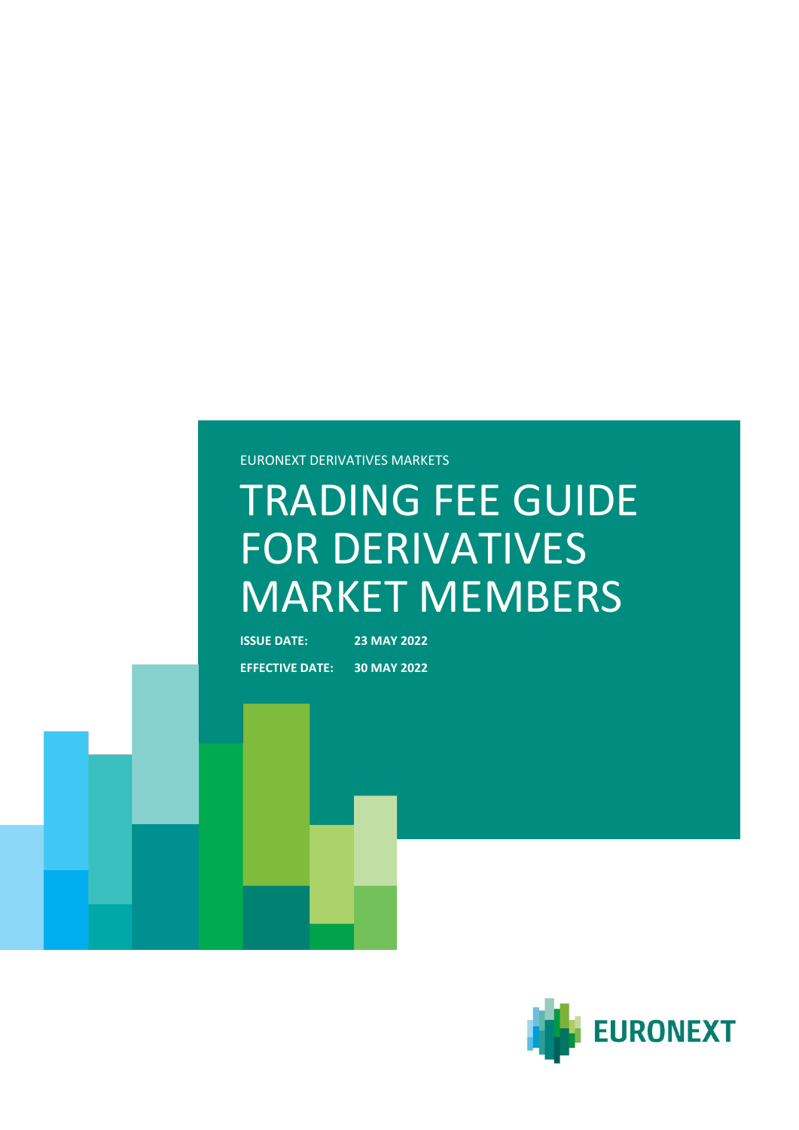## EURONEXT DERIVATIVES MARKETS

# TRADING FEE GUIDE FOR DERIVATIVES MARKET MEMBERS

**ISSUE DATE: 23 MAY 2022 EFFECTIVE DATE: 30 MAY 2022**

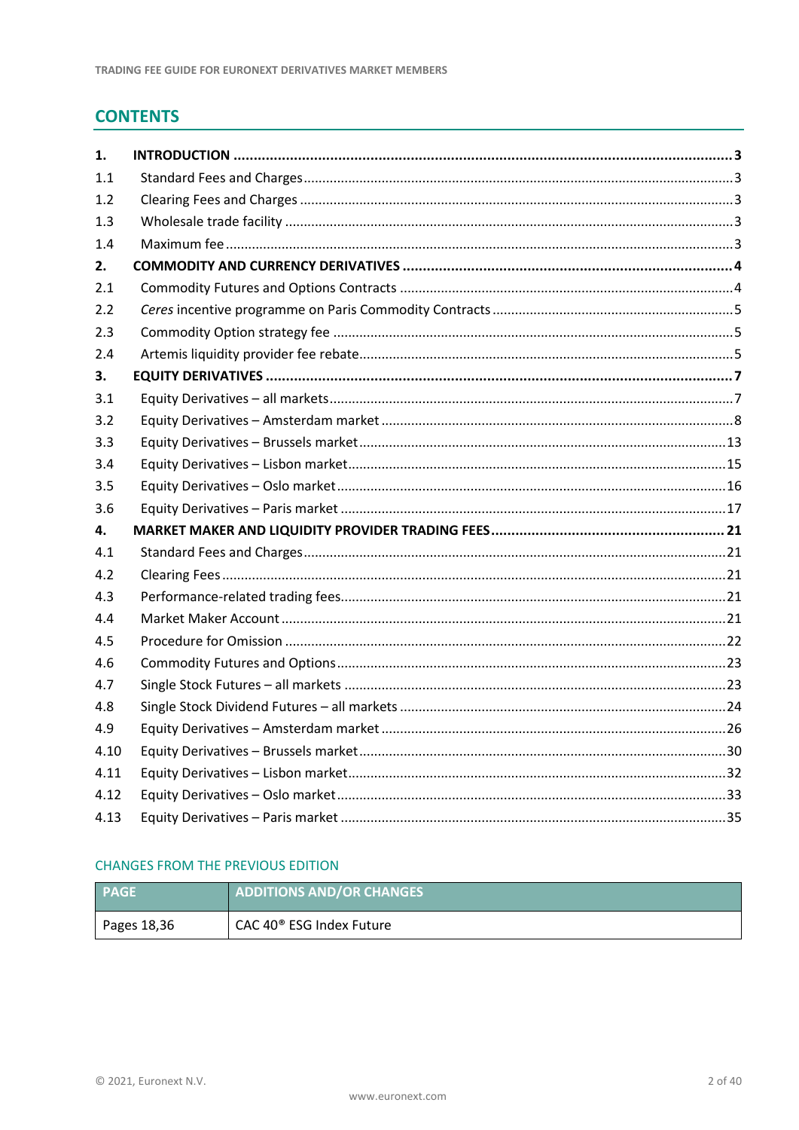# **CONTENTS**

| 1.   |  |
|------|--|
| 1.1  |  |
| 1.2  |  |
| 1.3  |  |
| 1.4  |  |
| 2.   |  |
| 2.1  |  |
| 2.2  |  |
| 2.3  |  |
| 2.4  |  |
| 3.   |  |
| 3.1  |  |
| 3.2  |  |
| 3.3  |  |
| 3.4  |  |
| 3.5  |  |
| 3.6  |  |
| 4.   |  |
| 4.1  |  |
| 4.2  |  |
| 4.3  |  |
| 4.4  |  |
| 4.5  |  |
| 4.6  |  |
| 4.7  |  |
| 4.8  |  |
| 4.9  |  |
| 4.10 |  |
| 4.11 |  |
| 4.12 |  |
| 4.13 |  |

# **CHANGES FROM THE PREVIOUS EDITION**

| <b>PAGE</b>   | <b>ADDITIONS AND/OR CHANGES</b>      |
|---------------|--------------------------------------|
| Pages $18,36$ | CAC 40 <sup>®</sup> ESG Index Future |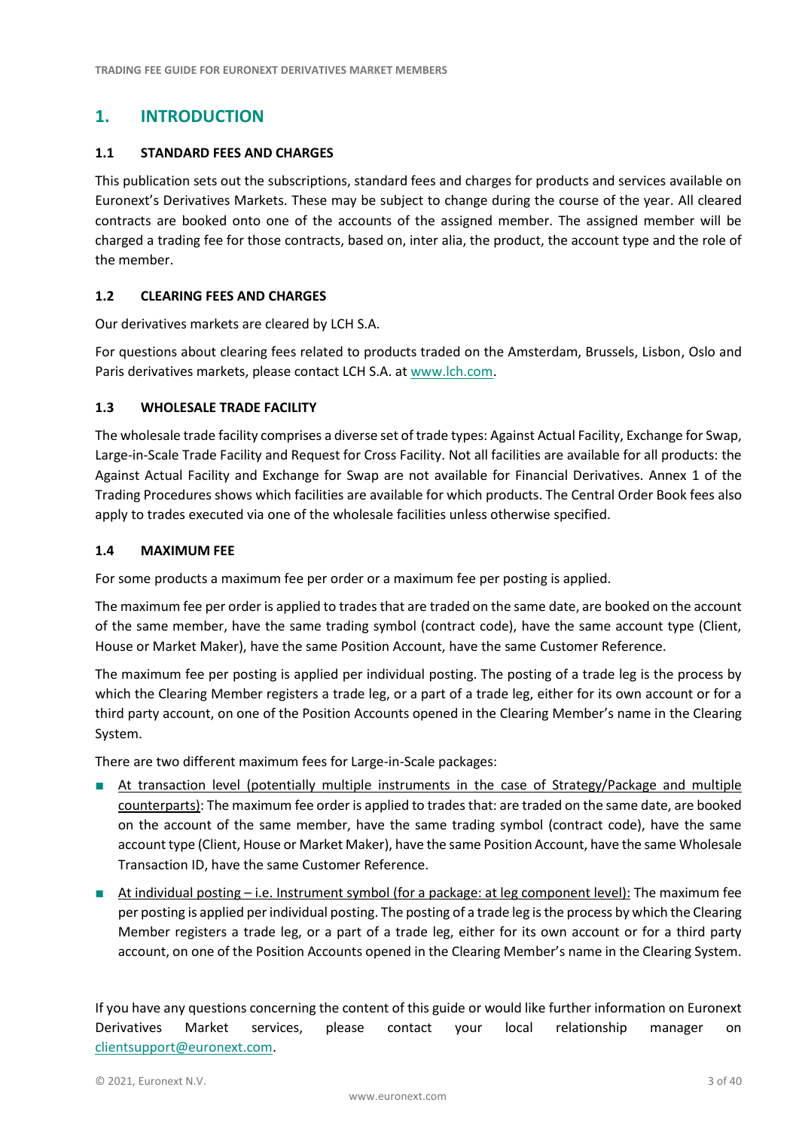# <span id="page-2-0"></span>**1. INTRODUCTION**

## <span id="page-2-1"></span>**1.1 STANDARD FEES AND CHARGES**

This publication sets out the subscriptions, standard fees and charges for products and services available on Euronext's Derivatives Markets. These may be subject to change during the course of the year. All cleared contracts are booked onto one of the accounts of the assigned member. The assigned member will be charged a trading fee for those contracts, based on, inter alia, the product, the account type and the role of the member.

## <span id="page-2-2"></span>**1.2 CLEARING FEES AND CHARGES**

Our derivatives markets are cleared by LCH S.A.

For questions about clearing fees related to products traded on the Amsterdam, Brussels, Lisbon, Oslo and Paris derivatives markets, please contact LCH S.A. at [www.lch.com.](http://www.lch.com/)

#### <span id="page-2-3"></span>**1.3 WHOLESALE TRADE FACILITY**

The wholesale trade facility comprises a diverse set of trade types: Against Actual Facility, Exchange for Swap, Large-in-Scale Trade Facility and Request for Cross Facility. Not all facilities are available for all products: the Against Actual Facility and Exchange for Swap are not available for Financial Derivatives. Annex 1 of the Trading Procedures shows which facilities are available for which products. The Central Order Book fees also apply to trades executed via one of the wholesale facilities unless otherwise specified.

#### <span id="page-2-4"></span>**1.4 MAXIMUM FEE**

For some products a maximum fee per order or a maximum fee per posting is applied.

The maximum fee per order is applied to trades that are traded on the same date, are booked on the account of the same member, have the same trading symbol (contract code), have the same account type (Client, House or Market Maker), have the same Position Account, have the same Customer Reference.

The maximum fee per posting is applied per individual posting. The posting of a trade leg is the process by which the Clearing Member registers a trade leg, or a part of a trade leg, either for its own account or for a third party account, on one of the Position Accounts opened in the Clearing Member's name in the Clearing System.

There are two different maximum fees for Large-in-Scale packages:

- At transaction level (potentially multiple instruments in the case of Strategy/Package and multiple counterparts): The maximum fee order is applied to trades that: are traded on the same date, are booked on the account of the same member, have the same trading symbol (contract code), have the same account type (Client, House or Market Maker), have the same Position Account, have the same Wholesale Transaction ID, have the same Customer Reference.
- At individual posting i.e. Instrument symbol (for a package: at leg component level): The maximum fee per posting is applied per individual posting. The posting of a trade leg is the process by which the Clearing Member registers a trade leg, or a part of a trade leg, either for its own account or for a third party account, on one of the Position Accounts opened in the Clearing Member's name in the Clearing System.

If you have any questions concerning the content of this guide or would like further information on Euronext Derivatives Market services, please contact your local relationship manager on [clientsupport@euronext.com.](mailto:clientsupport@euronext.com)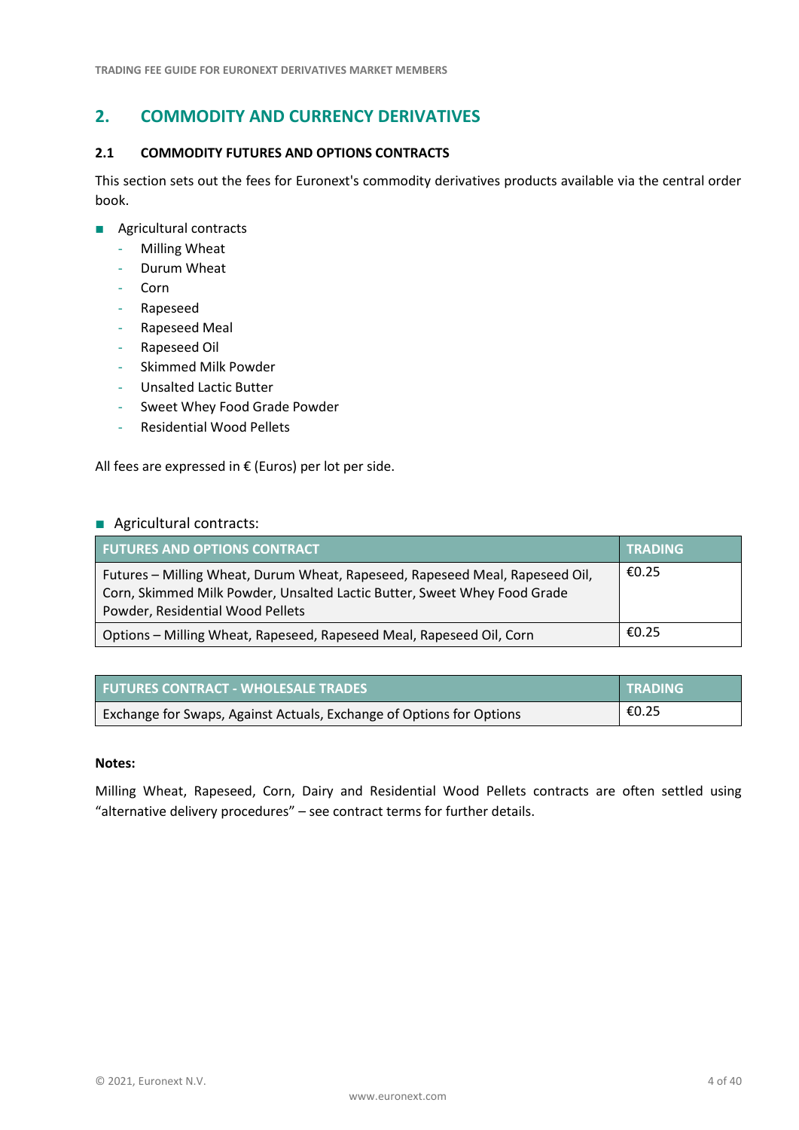# <span id="page-3-0"></span>**2. COMMODITY AND CURRENCY DERIVATIVES**

#### <span id="page-3-1"></span>**2.1 COMMODITY FUTURES AND OPTIONS CONTRACTS**

This section sets out the fees for Euronext's commodity derivatives products available via the central order book.

- Agricultural contracts
	- Milling Wheat
	- Durum Wheat
	- Corn
	- Rapeseed
	- Rapeseed Meal
	- Rapeseed Oil
	- Skimmed Milk Powder
	- Unsalted Lactic Butter
	- Sweet Whey Food Grade Powder
	- Residential Wood Pellets

All fees are expressed in  $€$  (Euros) per lot per side.

#### ■ Agricultural contracts:

| <b>FUTURES AND OPTIONS CONTRACT</b>                                                                                                                                                          | TRADING |
|----------------------------------------------------------------------------------------------------------------------------------------------------------------------------------------------|---------|
| Futures - Milling Wheat, Durum Wheat, Rapeseed, Rapeseed Meal, Rapeseed Oil,<br>Corn, Skimmed Milk Powder, Unsalted Lactic Butter, Sweet Whey Food Grade<br>Powder, Residential Wood Pellets | €0.25   |
| Options - Milling Wheat, Rapeseed, Rapeseed Meal, Rapeseed Oil, Corn                                                                                                                         | €0.25   |

| <b>FUTURES CONTRACT - WHOLESALE TRADES</b>                           | <b>TRADING</b> |
|----------------------------------------------------------------------|----------------|
| Exchange for Swaps, Against Actuals, Exchange of Options for Options | €0.25          |

## **Notes:**

Milling Wheat, Rapeseed, Corn, Dairy and Residential Wood Pellets contracts are often settled using "alternative delivery procedures" – see contract terms for further details.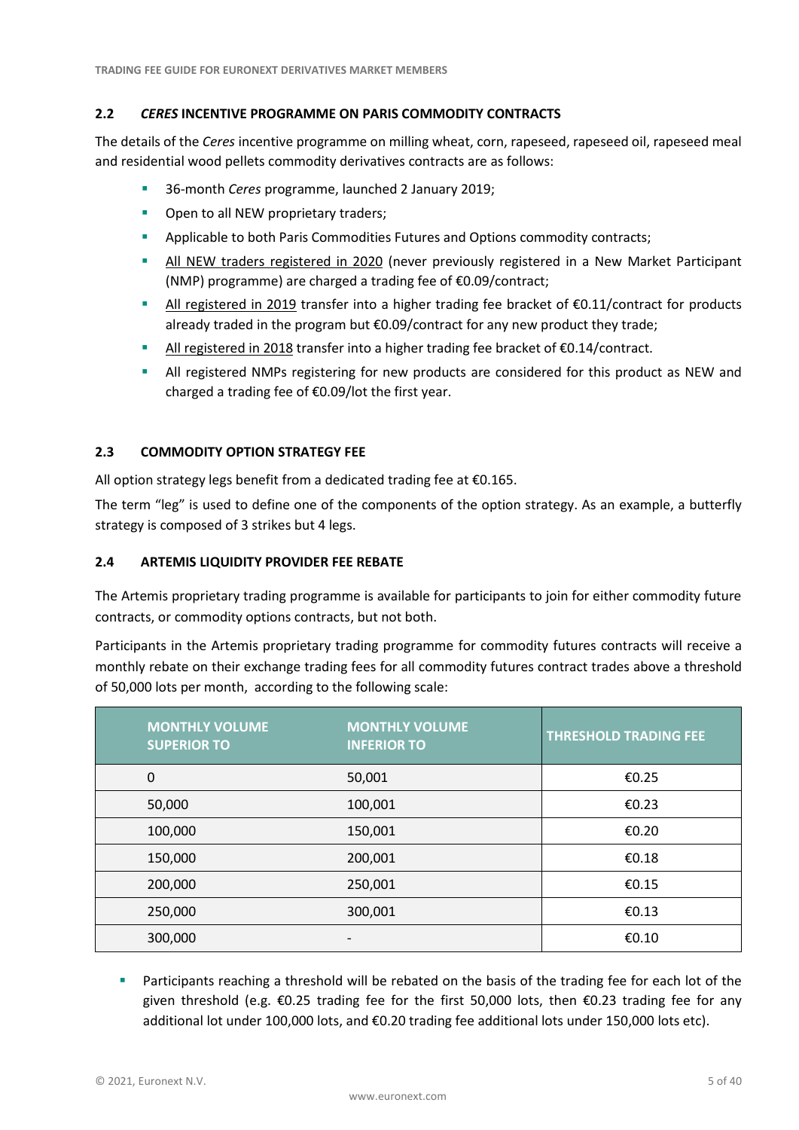## <span id="page-4-0"></span>**2.2** *CERES* **INCENTIVE PROGRAMME ON PARIS COMMODITY CONTRACTS**

The details of the *Ceres* incentive programme on milling wheat, corn, rapeseed, rapeseed oil, rapeseed meal and residential wood pellets commodity derivatives contracts are as follows:

- 36-month *Ceres* programme, launched 2 January 2019;
- Open to all NEW proprietary traders;
- **Applicable to both Paris Commodities Futures and Options commodity contracts;**
- **E** All NEW traders registered in 2020 (never previously registered in a New Market Participant (NMP) programme) are charged a trading fee of €0.09/contract;
- All registered in 2019 transfer into a higher trading fee bracket of €0.11/contract for products already traded in the program but €0.09/contract for any new product they trade;
- All registered in 2018 transfer into a higher trading fee bracket of €0.14/contract.
- **EXECUTE:** All registered NMPs registering for new products are considered for this product as NEW and charged a trading fee of €0.09/lot the first year.

## <span id="page-4-1"></span>**2.3 COMMODITY OPTION STRATEGY FEE**

All option strategy legs benefit from a dedicated trading fee at €0.165.

The term "leg" is used to define one of the components of the option strategy. As an example, a butterfly strategy is composed of 3 strikes but 4 legs.

## <span id="page-4-2"></span>**2.4 ARTEMIS LIQUIDITY PROVIDER FEE REBATE**

The Artemis proprietary trading programme is available for participants to join for either commodity future contracts, or commodity options contracts, but not both.

Participants in the Artemis proprietary trading programme for commodity futures contracts will receive a monthly rebate on their exchange trading fees for all commodity futures contract trades above a threshold of 50,000 lots per month, according to the following scale:

| <b>MONTHLY VOLUME</b><br><b>SUPERIOR TO</b> | <b>MONTHLY VOLUME</b><br><b>INFERIOR TO</b> | <b>THRESHOLD TRADING FEE</b> |
|---------------------------------------------|---------------------------------------------|------------------------------|
| 0                                           | 50,001                                      | €0.25                        |
| 50,000                                      | 100,001                                     | €0.23                        |
| 100,000                                     | 150,001                                     | €0.20                        |
| 150,000                                     | 200,001                                     | €0.18                        |
| 200,000                                     | 250,001                                     | €0.15                        |
| 250,000                                     | 300,001                                     | £0.13                        |
| 300,000                                     |                                             | € $0.10$                     |

**EXECUTE:** Participants reaching a threshold will be rebated on the basis of the trading fee for each lot of the given threshold (e.g.  $\epsilon$ 0.25 trading fee for the first 50,000 lots, then  $\epsilon$ 0.23 trading fee for any additional lot under 100,000 lots, and €0.20 trading fee additional lots under 150,000 lots etc).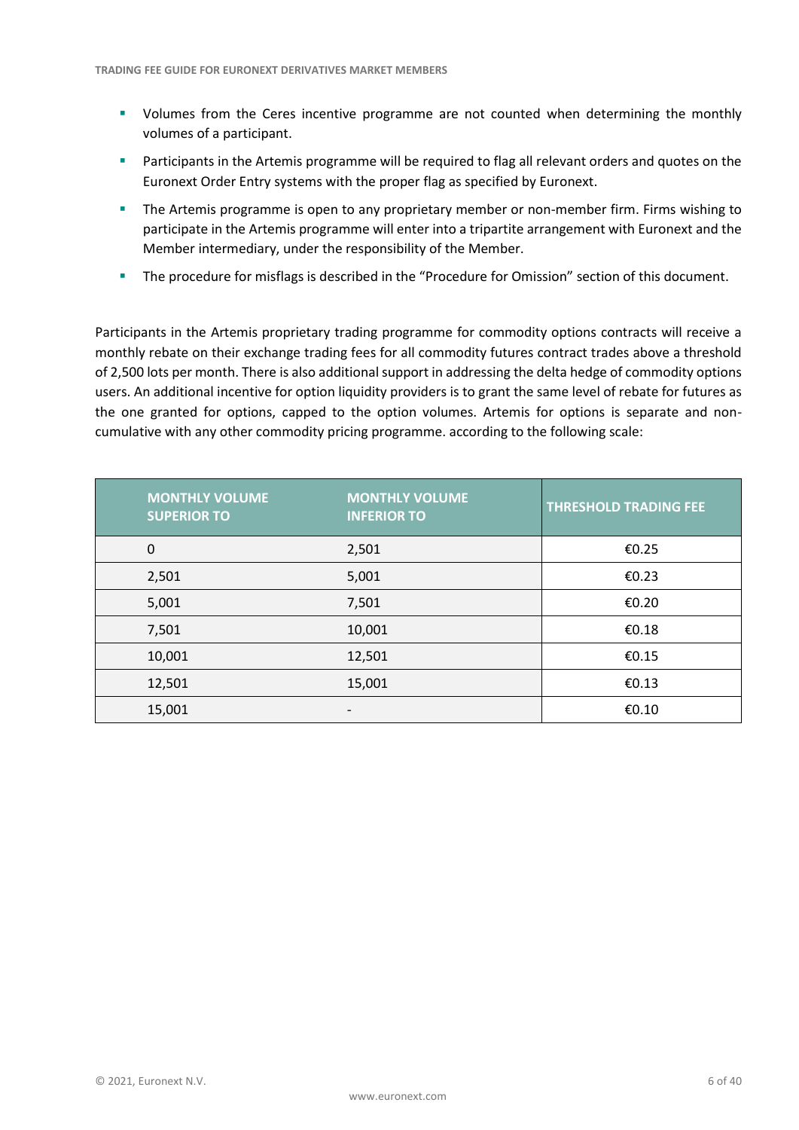- **•** Volumes from the Ceres incentive programme are not counted when determining the monthly volumes of a participant.
- **EXTERNITHENT Participants in the Artemis programme will be required to flag all relevant orders and quotes on the** Euronext Order Entry systems with the proper flag as specified by Euronext.
- **•** The Artemis programme is open to any proprietary member or non-member firm. Firms wishing to participate in the Artemis programme will enter into a tripartite arrangement with Euronext and the Member intermediary, under the responsibility of the Member.
- The procedure for misflags is described in the "Procedure for Omission" section of this document.

Participants in the Artemis proprietary trading programme for commodity options contracts will receive a monthly rebate on their exchange trading fees for all commodity futures contract trades above a threshold of 2,500 lots per month. There is also additional support in addressing the delta hedge of commodity options users. An additional incentive for option liquidity providers is to grant the same level of rebate for futures as the one granted for options, capped to the option volumes. Artemis for options is separate and noncumulative with any other commodity pricing programme. according to the following scale:

| <b>MONTHLY VOLUME</b><br><b>SUPERIOR TO</b> | <b>MONTHLY VOLUME</b><br><b>INFERIOR TO</b> | <b>THRESHOLD TRADING FEE</b> |
|---------------------------------------------|---------------------------------------------|------------------------------|
| $\mathbf 0$                                 | 2,501                                       | €0.25                        |
| 2,501                                       | 5,001                                       | €0.23                        |
| 5,001                                       | 7,501                                       | €0.20                        |
| 7,501                                       | 10,001                                      | €0.18                        |
| 10,001                                      | 12,501                                      | €0.15                        |
| 12,501                                      | 15,001                                      | €0.13                        |
| 15,001                                      |                                             | €0.10                        |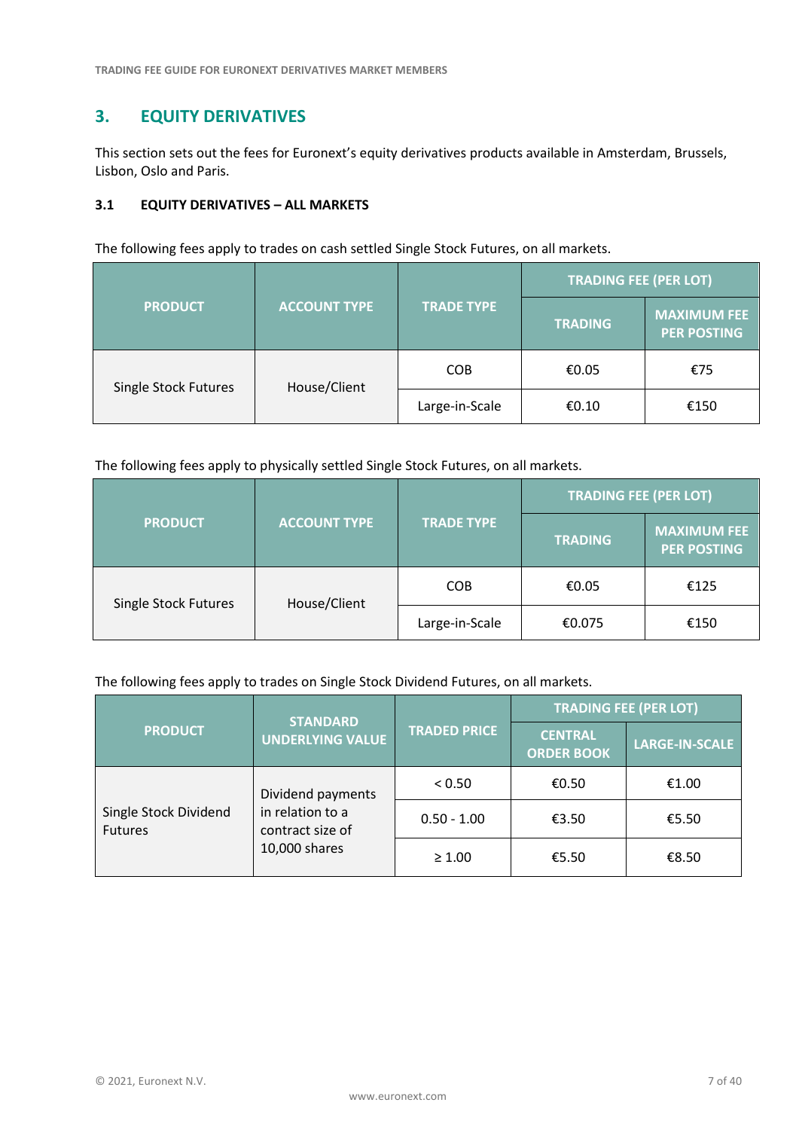# <span id="page-6-0"></span>**3. EQUITY DERIVATIVES**

This section sets out the fees for Euronext's equity derivatives products available in Amsterdam, Brussels, Lisbon, Oslo and Paris.

# <span id="page-6-1"></span>**3.1 EQUITY DERIVATIVES – ALL MARKETS**

The following fees apply to trades on cash settled Single Stock Futures, on all markets.

|                             |                     |                   | <b>TRADING FEE (PER LOT)</b> |                                          |
|-----------------------------|---------------------|-------------------|------------------------------|------------------------------------------|
| <b>PRODUCT</b>              | <b>ACCOUNT TYPE</b> | <b>TRADE TYPE</b> | <b>TRADING</b>               | <b>MAXIMUM FEE</b><br><b>PER POSTING</b> |
| <b>Single Stock Futures</b> | House/Client        | <b>COB</b>        | €0.05                        | €75                                      |
|                             |                     | Large-in-Scale    | €0.10                        | €150                                     |

The following fees apply to physically settled Single Stock Futures, on all markets.

|                             |                                          |                | <b>TRADING FEE (PER LOT)</b> |                                          |
|-----------------------------|------------------------------------------|----------------|------------------------------|------------------------------------------|
| <b>PRODUCT</b>              | <b>ACCOUNT TYPE</b><br><b>TRADE TYPE</b> |                | <b>TRADING</b>               | <b>MAXIMUM FEE</b><br><b>PER POSTING</b> |
| <b>Single Stock Futures</b> | House/Client                             | <b>COB</b>     | €0.05                        | €125                                     |
|                             |                                          | Large-in-Scale | €0.075                       | €150                                     |

#### The following fees apply to trades on Single Stock Dividend Futures, on all markets.

|                                         | <b>STANDARD</b><br><b>UNDERLYING VALUE</b>                                 |                     | <b>TRADING FEE (PER LOT)</b>        |                       |
|-----------------------------------------|----------------------------------------------------------------------------|---------------------|-------------------------------------|-----------------------|
| <b>PRODUCT</b>                          |                                                                            | <b>TRADED PRICE</b> | <b>CENTRAL</b><br><b>ORDER BOOK</b> | <b>LARGE-IN-SCALE</b> |
|                                         | Dividend payments<br>in relation to a<br>contract size of<br>10,000 shares | < 0.50              | €0.50                               | €1.00                 |
| Single Stock Dividend<br><b>Futures</b> |                                                                            | $0.50 - 1.00$       | €3.50                               | €5.50                 |
|                                         |                                                                            | $\geq 1.00$         | €5.50                               | €8.50                 |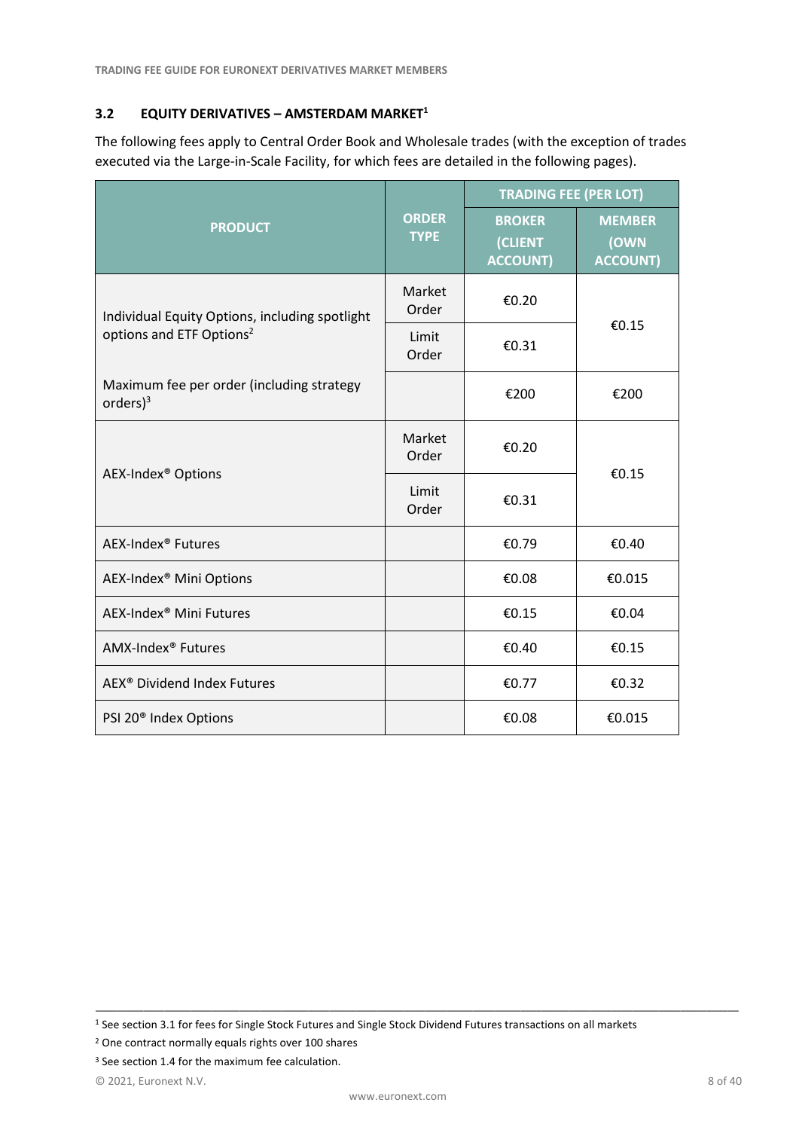# <span id="page-7-0"></span>**3.2 EQUITY DERIVATIVES – AMSTERDAM MARKET<sup>1</sup>**

The following fees apply to Central Order Book and Wholesale trades (with the exception of trades executed via the Large-in-Scale Facility, for which fees are detailed in the following pages).

|                                                           |                             | <b>TRADING FEE (PER LOT)</b>                |                                          |  |
|-----------------------------------------------------------|-----------------------------|---------------------------------------------|------------------------------------------|--|
| <b>PRODUCT</b>                                            | <b>ORDER</b><br><b>TYPE</b> | <b>BROKER</b><br>(CLIENT<br><b>ACCOUNT)</b> | <b>MEMBER</b><br>(OWN<br><b>ACCOUNT)</b> |  |
| Individual Equity Options, including spotlight            | Market<br>Order             | €0.20                                       |                                          |  |
| options and ETF Options <sup>2</sup>                      | Limit<br>Order              | €0.31                                       | €0.15                                    |  |
| Maximum fee per order (including strategy<br>orders $)^3$ |                             | €200                                        | €200                                     |  |
| AEX-Index <sup>®</sup> Options                            | Market<br>Order             | €0.20                                       | €0.15                                    |  |
|                                                           | Limit<br>Order              | €0.31                                       |                                          |  |
| AEX-Index <sup>®</sup> Futures                            |                             | €0.79                                       | €0.40                                    |  |
| AEX-Index <sup>®</sup> Mini Options                       |                             | €0.08                                       | €0.015                                   |  |
| AEX-Index <sup>®</sup> Mini Futures                       |                             | €0.15                                       | €0.04                                    |  |
| AMX-Index <sup>®</sup> Futures                            |                             | €0.40                                       | €0.15                                    |  |
| AEX <sup>®</sup> Dividend Index Futures                   |                             | €0.77                                       | €0.32                                    |  |
| PSI 20 <sup>®</sup> Index Options                         |                             | €0.08                                       | €0.015                                   |  |

<sup>1</sup> See section 3.1 for fees for Single Stock Futures and Single Stock Dividend Futures transactions on all markets

<sup>2</sup> One contract normally equals rights over 100 shares

<sup>&</sup>lt;sup>3</sup> See section 1.4 for the maximum fee calculation.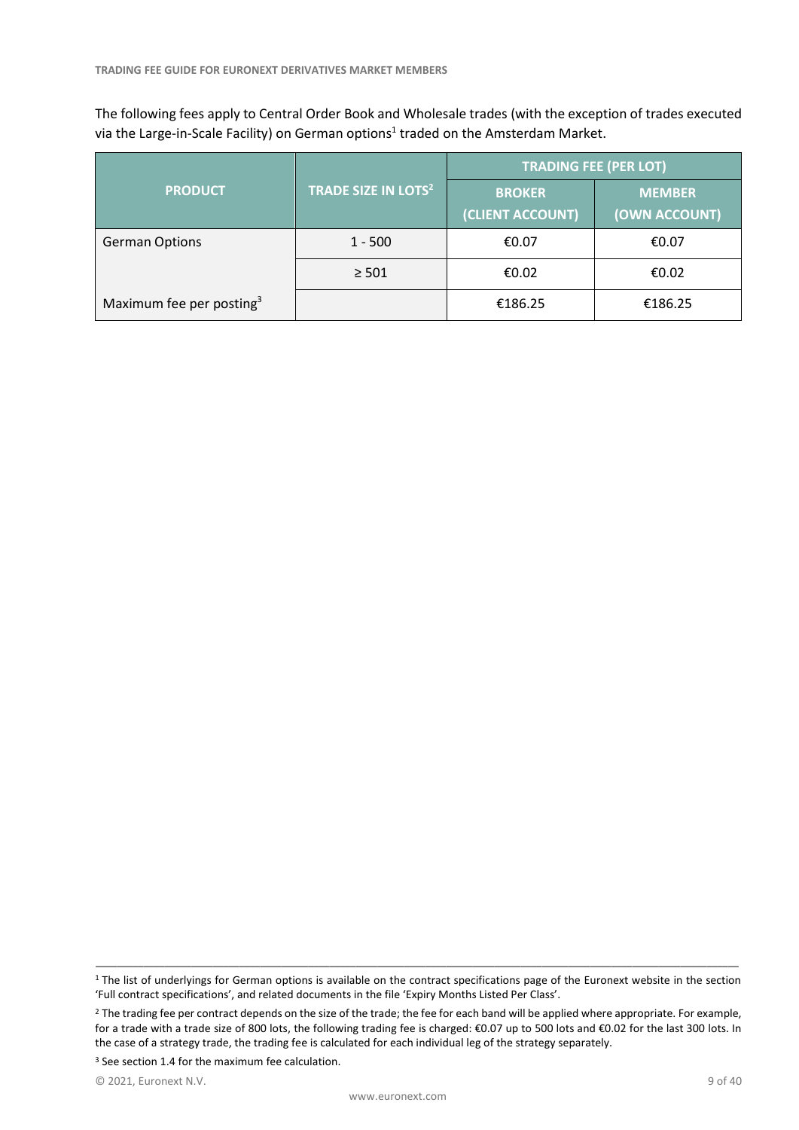The following fees apply to Central Order Book and Wholesale trades (with the exception of trades executed via the Large-in-Scale Facility) on German options<sup>1</sup> traded on the Amsterdam Market.

|                                      |                                 | <b>TRADING FEE (PER LOT)</b>      |                                |  |
|--------------------------------------|---------------------------------|-----------------------------------|--------------------------------|--|
| <b>PRODUCT</b>                       | TRADE SIZE IN LOTS <sup>2</sup> | <b>BROKER</b><br>(CLIENT ACCOUNT) | <b>MEMBER</b><br>(OWN ACCOUNT) |  |
| <b>German Options</b>                | $1 - 500$                       | €0.07                             | €0.07                          |  |
|                                      | $\geq 501$                      | €0.02                             | €0.02                          |  |
| Maximum fee per posting <sup>3</sup> |                                 | €186.25                           | €186.25                        |  |

\_\_\_\_\_\_\_\_\_\_\_\_\_\_\_\_\_\_\_\_\_\_\_\_\_\_\_\_\_\_\_\_\_\_\_\_\_\_\_\_\_\_\_\_\_\_\_\_\_\_\_\_\_\_\_\_\_\_\_\_\_\_\_\_\_\_\_\_\_\_\_\_\_\_\_\_\_\_\_\_\_\_\_\_\_\_\_\_\_\_\_\_\_\_\_\_\_\_\_\_\_\_\_\_\_\_\_\_\_\_\_\_\_\_\_\_\_\_\_\_\_ <sup>1</sup> The list of underlyings for German options is available on the contract specifications page of the Euronext website in the section 'Full contract specifications', and related documents in the file 'Expiry Months Listed Per Class'.

<sup>&</sup>lt;sup>2</sup> The trading fee per contract depends on the size of the trade; the fee for each band will be applied where appropriate. For example, for a trade with a trade size of 800 lots, the following trading fee is charged: €0.07 up to 500 lots and €0.02 for the last 300 lots. In the case of a strategy trade, the trading fee is calculated for each individual leg of the strategy separately.

<sup>&</sup>lt;sup>3</sup> See section 1.4 for the maximum fee calculation.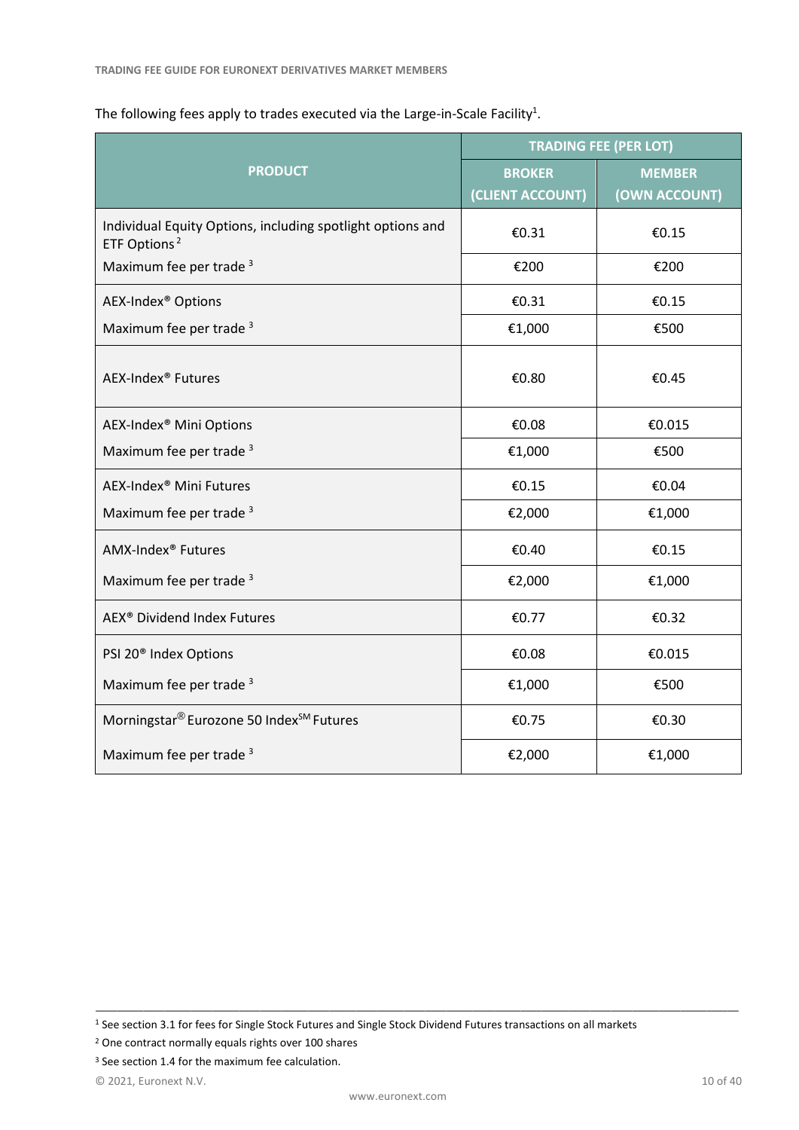|                                                                                        | <b>TRADING FEE (PER LOT)</b> |               |  |
|----------------------------------------------------------------------------------------|------------------------------|---------------|--|
| <b>PRODUCT</b>                                                                         | <b>BROKER</b>                | <b>MEMBER</b> |  |
|                                                                                        | (CLIENT ACCOUNT)             | (OWN ACCOUNT) |  |
| Individual Equity Options, including spotlight options and<br>ETF Options <sup>2</sup> | €0.31                        | €0.15         |  |
| Maximum fee per trade <sup>3</sup>                                                     | €200                         | €200          |  |
| AEX-Index <sup>®</sup> Options                                                         | €0.31                        | €0.15         |  |
| Maximum fee per trade <sup>3</sup>                                                     | €1,000                       | €500          |  |
| AEX-Index <sup>®</sup> Futures                                                         | €0.80                        | €0.45         |  |
| AEX-Index <sup>®</sup> Mini Options                                                    | €0.08                        | €0.015        |  |
| Maximum fee per trade <sup>3</sup>                                                     | €1,000                       | €500          |  |
| AEX-Index <sup>®</sup> Mini Futures                                                    | €0.15                        | €0.04         |  |
| Maximum fee per trade <sup>3</sup>                                                     | €2,000                       | €1,000        |  |
| AMX-Index <sup>®</sup> Futures                                                         | €0.40                        | €0.15         |  |
| Maximum fee per trade <sup>3</sup>                                                     | €2,000                       | €1,000        |  |
| AEX <sup>®</sup> Dividend Index Futures                                                | €0.77                        | €0.32         |  |
| PSI 20 <sup>®</sup> Index Options                                                      | €0.08                        | €0.015        |  |
| Maximum fee per trade <sup>3</sup>                                                     | €1,000                       | €500          |  |
| Morningstar® Eurozone 50 Index <sup>SM</sup> Futures                                   | €0.75                        | €0.30         |  |
| Maximum fee per trade <sup>3</sup>                                                     | €2,000                       | €1,000        |  |

# The following fees apply to trades executed via the Large-in-Scale Facility<sup>1</sup>.

<sup>1</sup> See section 3.1 for fees for Single Stock Futures and Single Stock Dividend Futures transactions on all markets

<sup>2</sup> One contract normally equals rights over 100 shares

<sup>&</sup>lt;sup>3</sup> See section 1.4 for the maximum fee calculation.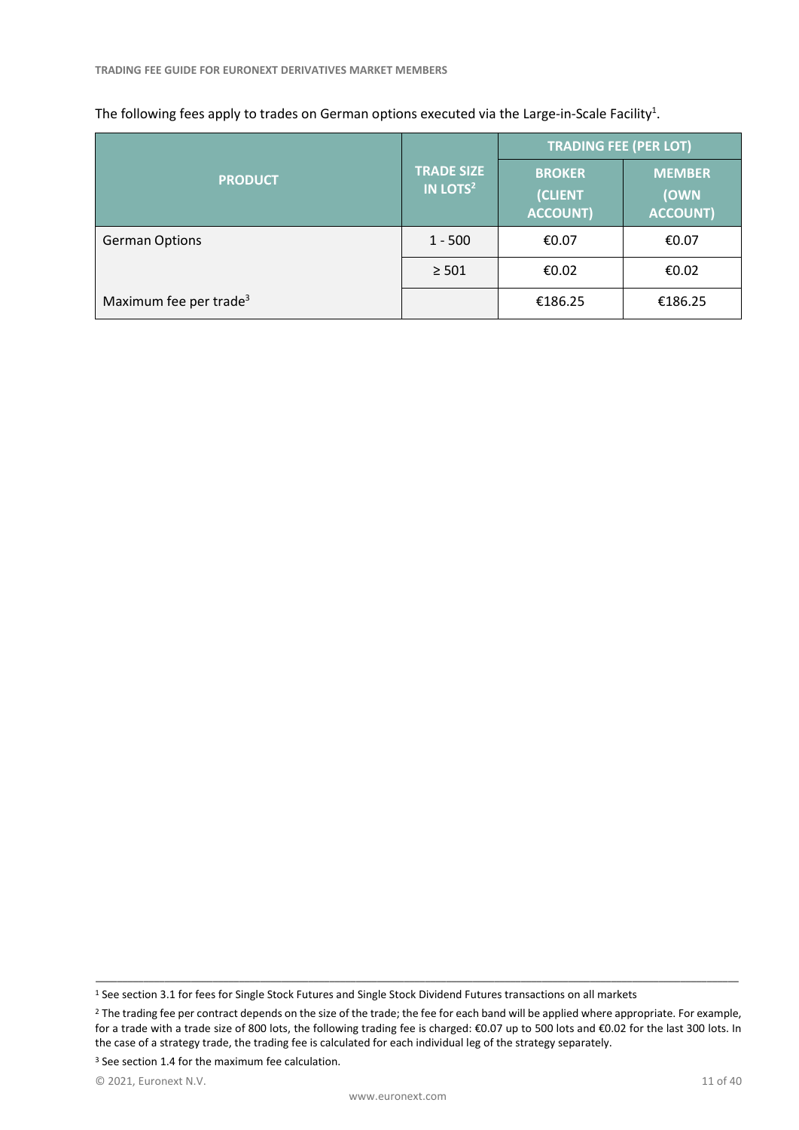|                                    |                                           | <b>TRADING FEE (PER LOT)</b>                |                                          |  |  |
|------------------------------------|-------------------------------------------|---------------------------------------------|------------------------------------------|--|--|
| <b>PRODUCT</b>                     | <b>TRADE SIZE</b><br>IN LOTS <sup>2</sup> | <b>BROKER</b><br>(CLIENT<br><b>ACCOUNT)</b> | <b>MEMBER</b><br>(OWN<br><b>ACCOUNT)</b> |  |  |
| <b>German Options</b>              | $1 - 500$                                 | €0.07                                       | €0.07                                    |  |  |
|                                    | $\geq 501$                                | €0.02                                       | €0.02                                    |  |  |
| Maximum fee per trade <sup>3</sup> |                                           | €186.25                                     | €186.25                                  |  |  |

#### The following fees apply to trades on German options executed via the Large-in-Scale Facility<sup>1</sup>.

<sup>1</sup> See section 3.1 for fees for Single Stock Futures and Single Stock Dividend Futures transactions on all markets

<sup>&</sup>lt;sup>2</sup> The trading fee per contract depends on the size of the trade; the fee for each band will be applied where appropriate. For example, for a trade with a trade size of 800 lots, the following trading fee is charged: €0.07 up to 500 lots and €0.02 for the last 300 lots. In the case of a strategy trade, the trading fee is calculated for each individual leg of the strategy separately.

<sup>&</sup>lt;sup>3</sup> See section 1.4 for the maximum fee calculation.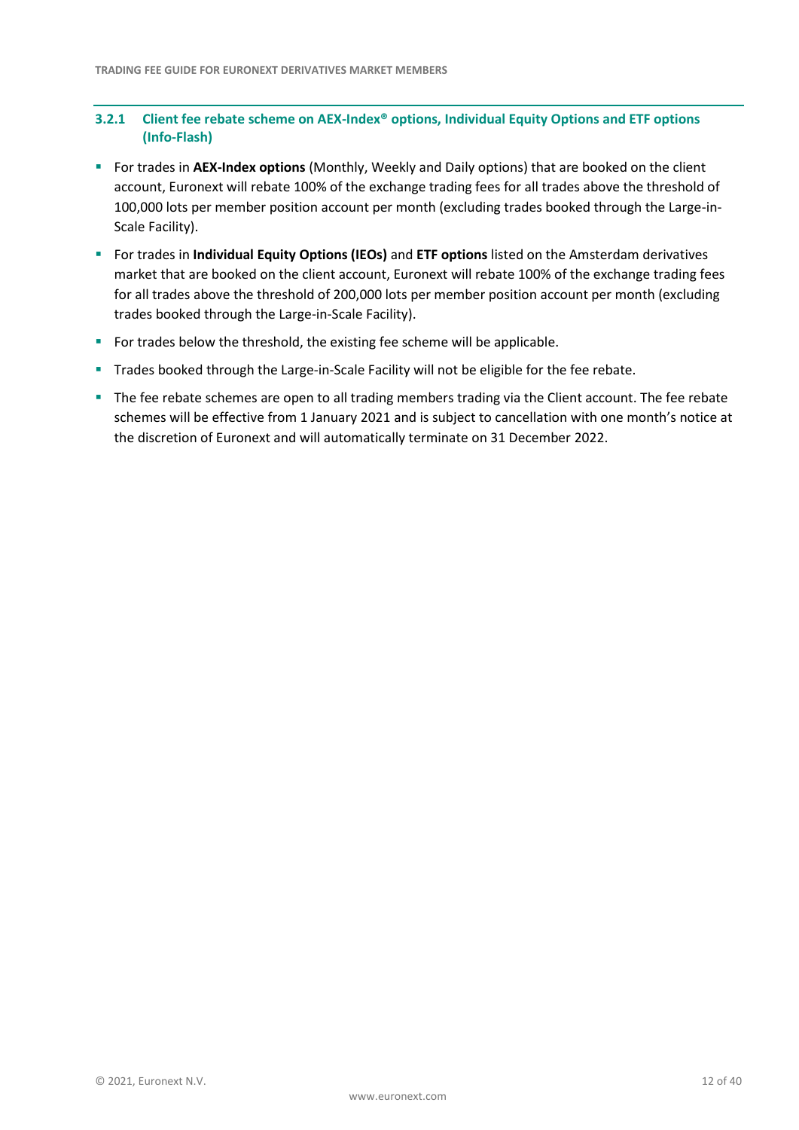# **3.2.1 Client fee rebate scheme on AEX-Index® options, Individual Equity Options and ETF options (Info-Flash)**

- **EXAGER 15 For trades in AEX-Index options** (Monthly, Weekly and Daily options) that are booked on the client account, Euronext will rebate 100% of the exchange trading fees for all trades above the threshold of 100,000 lots per member position account per month (excluding trades booked through the Large-in-Scale Facility).
- For trades in **Individual Equity Options (IEOs)** and **ETF options** listed on the Amsterdam derivatives market that are booked on the client account, Euronext will rebate 100% of the exchange trading fees for all trades above the threshold of 200,000 lots per member position account per month (excluding trades booked through the Large-in-Scale Facility).
- For trades below the threshold, the existing fee scheme will be applicable.
- **Trades booked through the Large-in-Scale Facility will not be eligible for the fee rebate.**
- The fee rebate schemes are open to all trading members trading via the Client account. The fee rebate schemes will be effective from 1 January 2021 and is subject to cancellation with one month's notice at the discretion of Euronext and will automatically terminate on 31 December 2022.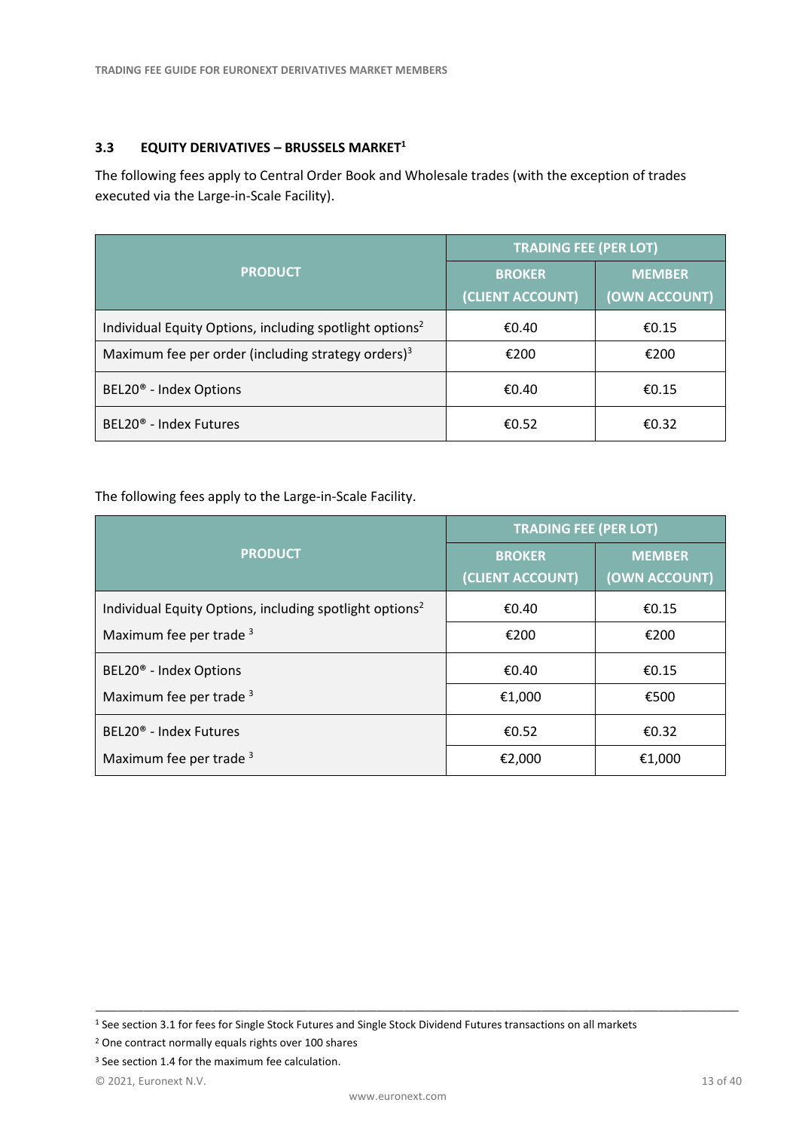# <span id="page-12-0"></span>**3.3 EQUITY DERIVATIVES – BRUSSELS MARKET<sup>1</sup>**

The following fees apply to Central Order Book and Wholesale trades (with the exception of trades executed via the Large-in-Scale Facility).

|                                                                     | <b>TRADING FEE (PER LOT)</b>      |                                |  |
|---------------------------------------------------------------------|-----------------------------------|--------------------------------|--|
| <b>PRODUCT</b>                                                      | <b>BROKER</b><br>(CLIENT ACCOUNT) | <b>MEMBER</b><br>(OWN ACCOUNT) |  |
| Individual Equity Options, including spotlight options <sup>2</sup> | €0.40                             | €0.15                          |  |
| Maximum fee per order (including strategy orders) <sup>3</sup>      | €200                              | €200                           |  |
| BEL20 <sup>®</sup> - Index Options                                  | €0.40                             | €0.15                          |  |
| BEL20 <sup>®</sup> - Index Futures                                  | €0.52                             | €0.32                          |  |

## The following fees apply to the Large-in-Scale Facility.

|                                                                     | <b>TRADING FEE (PER LOT)</b>      |                                |  |  |
|---------------------------------------------------------------------|-----------------------------------|--------------------------------|--|--|
| <b>PRODUCT</b>                                                      | <b>BROKER</b><br>(CLIENT ACCOUNT) | <b>MEMBER</b><br>(OWN ACCOUNT) |  |  |
| Individual Equity Options, including spotlight options <sup>2</sup> | €0.40                             | €0.15                          |  |  |
| Maximum fee per trade <sup>3</sup>                                  | €200                              | €200                           |  |  |
| BEL20 <sup>®</sup> - Index Options                                  | €0.40                             | €0.15                          |  |  |
| Maximum fee per trade <sup>3</sup>                                  | €1,000                            | €500                           |  |  |
| BEL20 <sup>®</sup> - Index Futures                                  | €0.52                             | €0.32                          |  |  |
| Maximum fee per trade <sup>3</sup>                                  | €2,000                            | €1,000                         |  |  |

<sup>1</sup> See section 3.1 for fees for Single Stock Futures and Single Stock Dividend Futures transactions on all markets

<sup>2</sup> One contract normally equals rights over 100 shares

<sup>&</sup>lt;sup>3</sup> See section 1.4 for the maximum fee calculation.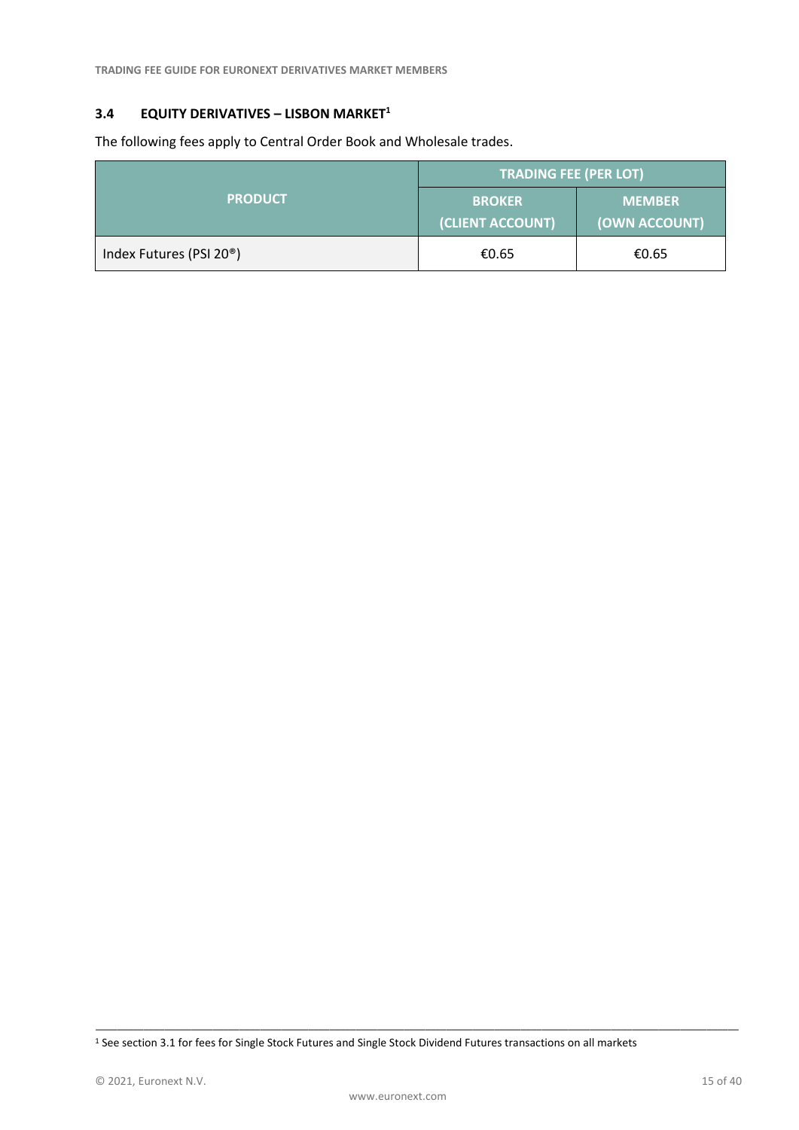**TRADING FEE GUIDE FOR EURONEXT DERIVATIVES MARKET MEMBERS** 

# <span id="page-14-0"></span>**3.4 EQUITY DERIVATIVES – LISBON MARKET<sup>1</sup>**

The following fees apply to Central Order Book and Wholesale trades.

|                                      | <b>TRADING FEE (PER LOT)</b>      |                                |  |
|--------------------------------------|-----------------------------------|--------------------------------|--|
| <b>PRODUCT</b>                       | <b>BROKER</b><br>(CLIENT ACCOUNT) | <b>MEMBER</b><br>(OWN ACCOUNT) |  |
| Index Futures (PSI 20 <sup>®</sup> ) | €0.65                             | €0.65                          |  |

<sup>1</sup> See section 3.1 for fees for Single Stock Futures and Single Stock Dividend Futures transactions on all markets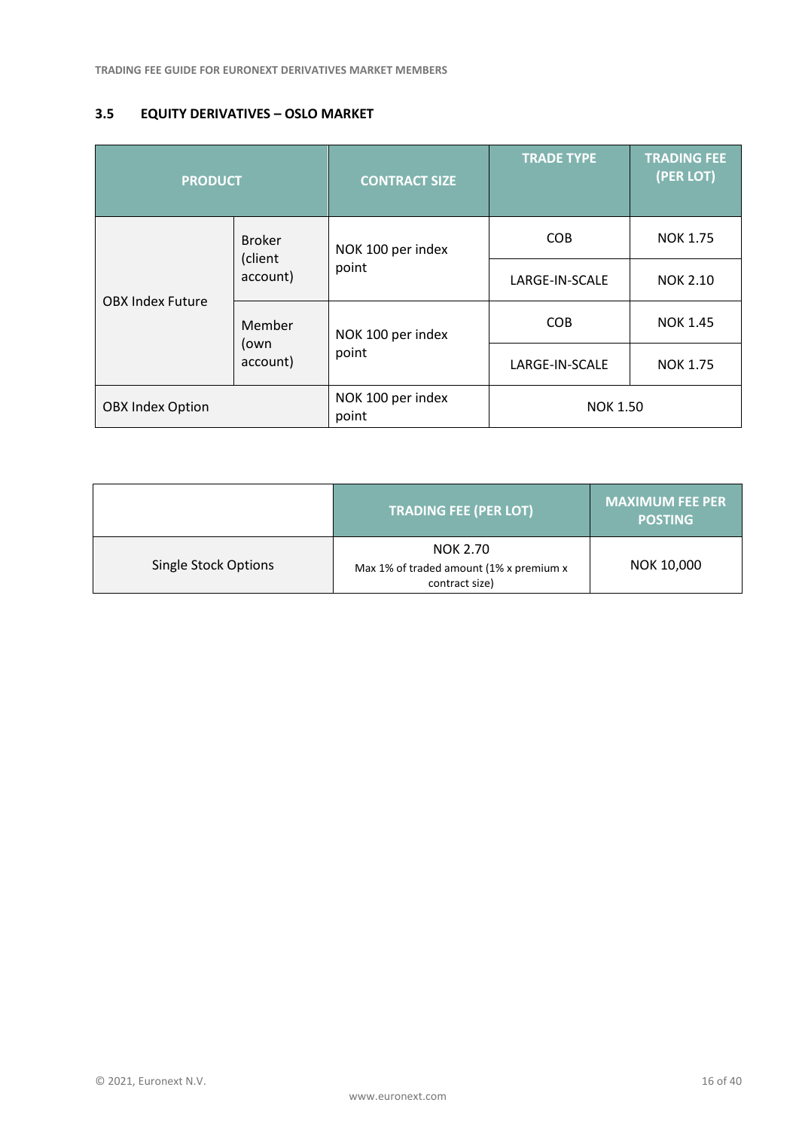# <span id="page-15-0"></span>**3.5 EQUITY DERIVATIVES – OSLO MARKET**

| <b>PRODUCT</b>          |                          | <b>CONTRACT SIZE</b>       | <b>TRADE TYPE</b> | <b>TRADING FEE</b><br>(PER LOT) |
|-------------------------|--------------------------|----------------------------|-------------------|---------------------------------|
|                         | <b>Broker</b><br>(client | NOK 100 per index          | <b>COB</b>        | <b>NOK 1.75</b>                 |
| <b>OBX Index Future</b> | account)                 | point                      | LARGE-IN-SCALE    | <b>NOK 2.10</b>                 |
|                         | Member                   | NOK 100 per index          | <b>COB</b>        | <b>NOK 1.45</b>                 |
|                         | (own<br>account)         | point                      | LARGE-IN-SCALE    | <b>NOK 1.75</b>                 |
| <b>OBX Index Option</b> |                          | NOK 100 per index<br>point | <b>NOK 1.50</b>   |                                 |

|                             | <b>TRADING FEE (PER LOT)</b>                                          | <b>MAXIMUM FEE PER</b><br><b>POSTING</b> |
|-----------------------------|-----------------------------------------------------------------------|------------------------------------------|
| <b>Single Stock Options</b> | NOK 2.70<br>Max 1% of traded amount (1% x premium x<br>contract size) | NOK 10,000                               |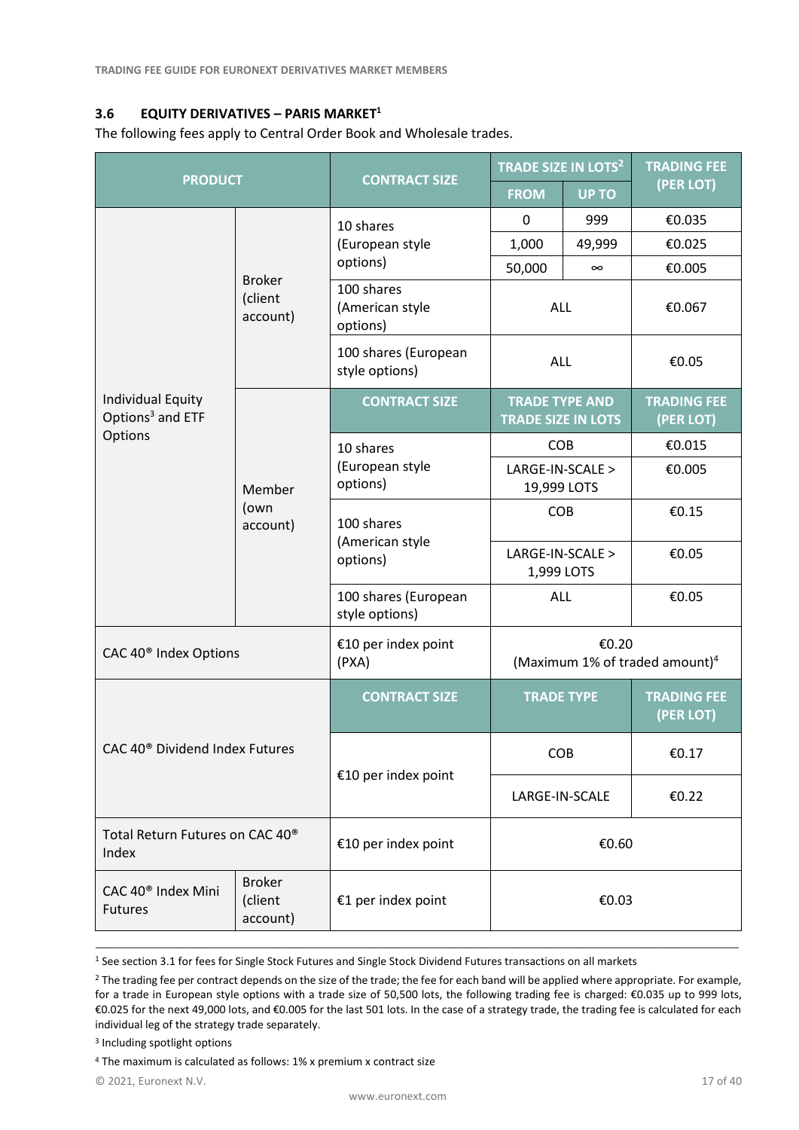# <span id="page-16-0"></span>**3.6 EQUITY DERIVATIVES – PARIS MARKET<sup>1</sup>**

The following fees apply to Central Order Book and Wholesale trades.

| <b>PRODUCT</b>                                           |                                      |                                           | <b>TRADE SIZE IN LOTS<sup>2</sup></b>               |              | <b>TRADING FEE</b>              |
|----------------------------------------------------------|--------------------------------------|-------------------------------------------|-----------------------------------------------------|--------------|---------------------------------|
|                                                          |                                      | <b>CONTRACT SIZE</b>                      | <b>FROM</b>                                         | <b>UP TO</b> | (PER LOT)                       |
|                                                          |                                      | 10 shares                                 |                                                     | 999          | €0.035                          |
|                                                          |                                      | (European style                           | 1,000                                               | 49,999       | €0.025                          |
|                                                          | <b>Broker</b>                        | options)                                  | 50,000                                              | $\infty$     | €0.005                          |
|                                                          | (client<br>account)                  | 100 shares<br>(American style<br>options) | <b>ALL</b>                                          |              | €0.067                          |
|                                                          |                                      | 100 shares (European<br>style options)    | ALL                                                 |              | €0.05                           |
| <b>Individual Equity</b><br>Options <sup>3</sup> and ETF |                                      | <b>CONTRACT SIZE</b>                      | <b>TRADE TYPE AND</b><br><b>TRADE SIZE IN LOTS</b>  |              | <b>TRADING FEE</b><br>(PER LOT) |
| Options                                                  |                                      | 10 shares                                 | COB                                                 |              | €0.015                          |
|                                                          | Member                               | (European style<br>options)               | LARGE-IN-SCALE ><br>19,999 LOTS                     |              | €0.005                          |
|                                                          | (own<br>account)                     | 100 shares<br>(American style<br>options) | <b>COB</b>                                          |              | €0.15                           |
|                                                          |                                      |                                           | LARGE-IN-SCALE ><br>1,999 LOTS                      |              | €0.05                           |
|                                                          |                                      | 100 shares (European<br>style options)    | ALL                                                 |              | €0.05                           |
| CAC 40 <sup>®</sup> Index Options                        |                                      | €10 per index point<br>(PXA)              | €0.20<br>(Maximum 1% of traded amount) <sup>4</sup> |              |                                 |
|                                                          |                                      | <b>CONTRACT SIZE</b>                      | <b>TRADE TYPE</b>                                   |              | <b>TRADING FEE</b><br>(PER LOT) |
| CAC 40 <sup>®</sup> Dividend Index Futures               |                                      |                                           | COB                                                 |              | €0.17                           |
|                                                          |                                      | €10 per index point                       | LARGE-IN-SCALE                                      |              | €0.22                           |
| Total Return Futures on CAC 40 <sup>®</sup><br>Index     |                                      | €10 per index point                       | €0.60                                               |              |                                 |
| CAC 40 <sup>®</sup> Index Mini<br><b>Futures</b>         | <b>Broker</b><br>(client<br>account) | €1 per index point                        | €0.03                                               |              |                                 |

<sup>1</sup> See section 3.1 for fees for Single Stock Futures and Single Stock Dividend Futures transactions on all markets

\_\_\_\_\_\_\_\_\_\_\_\_\_\_\_\_\_\_\_\_\_\_\_\_\_\_\_\_\_\_\_\_\_\_\_\_\_\_\_\_\_\_\_\_\_\_\_\_\_\_\_\_\_\_\_\_\_\_\_\_\_\_\_\_\_\_\_\_\_\_\_\_\_\_\_\_\_\_\_\_\_\_\_\_\_\_\_\_\_\_\_\_\_\_\_\_\_\_\_\_\_\_\_\_\_\_\_\_\_\_\_\_\_\_\_\_\_\_\_\_\_

3 Including spotlight options

<sup>4</sup> The maximum is calculated as follows: 1% x premium x contract size

© 2021, Euronext N.V. 17 of 40

<sup>&</sup>lt;sup>2</sup> The trading fee per contract depends on the size of the trade; the fee for each band will be applied where appropriate. For example, for a trade in European style options with a trade size of 50,500 lots, the following trading fee is charged: €0.035 up to 999 lots, €0.025 for the next 49,000 lots, and €0.005 for the last 501 lots. In the case of a strategy trade, the trading fee is calculated for each individual leg of the strategy trade separately.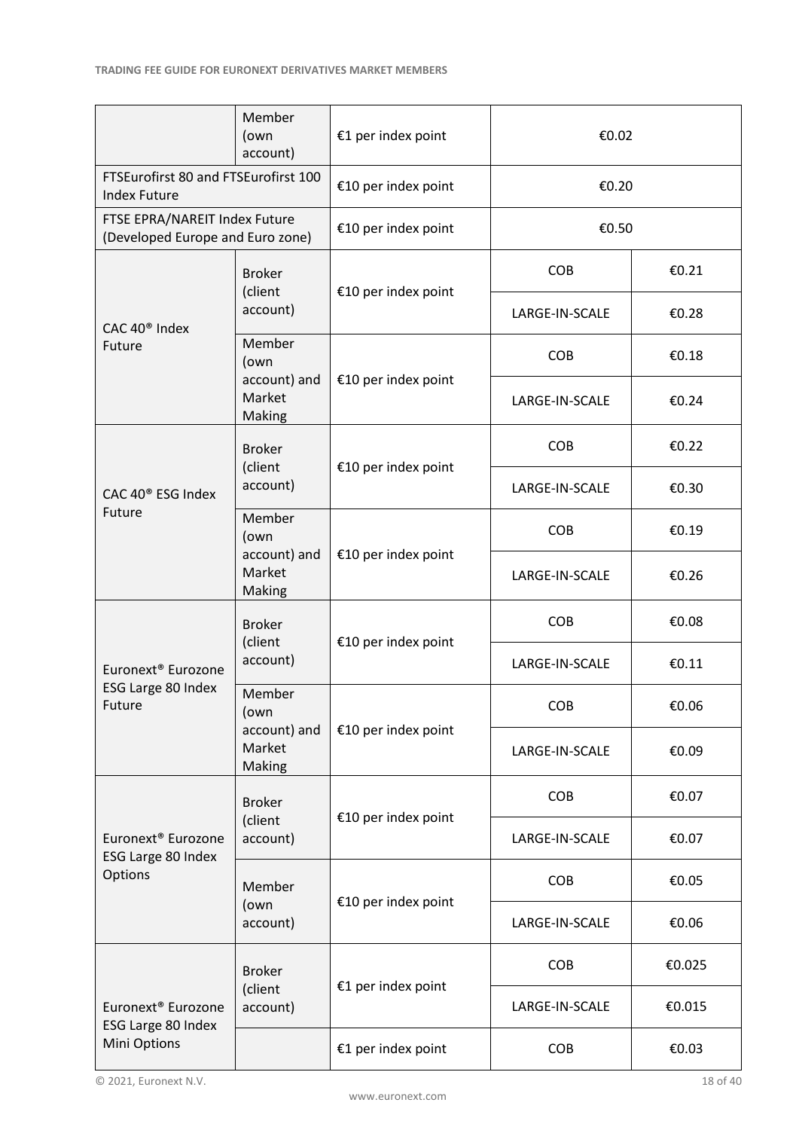|                                                                   | Member<br>(own<br>account)                              | €1 per index point  | €0.02          |        |
|-------------------------------------------------------------------|---------------------------------------------------------|---------------------|----------------|--------|
| FTSEurofirst 80 and FTSEurofirst 100<br><b>Index Future</b>       |                                                         | €10 per index point | €0.20          |        |
| FTSE EPRA/NAREIT Index Future<br>(Developed Europe and Euro zone) |                                                         | €10 per index point | €0.50          |        |
|                                                                   | <b>Broker</b><br>(client                                | €10 per index point | <b>COB</b>     | €0.21  |
| CAC 40 <sup>®</sup> Index                                         | account)                                                |                     | LARGE-IN-SCALE | €0.28  |
| Future                                                            | Member<br>(own                                          |                     | <b>COB</b>     | €0.18  |
|                                                                   | account) and<br>Market<br>Making                        | €10 per index point | LARGE-IN-SCALE | €0.24  |
|                                                                   | <b>Broker</b><br>(client                                | €10 per index point | <b>COB</b>     | €0.22  |
| CAC 40 <sup>®</sup> ESG Index                                     | account)                                                |                     | LARGE-IN-SCALE | €0.30  |
| Future                                                            | Member<br>(own                                          |                     | <b>COB</b>     | €0.19  |
|                                                                   | account) and<br>€10 per index point<br>Market<br>Making |                     | LARGE-IN-SCALE | €0.26  |
| <b>Broker</b><br>(client                                          |                                                         | €10 per index point | <b>COB</b>     | €0.08  |
| Euronext <sup>®</sup> Eurozone                                    | account)                                                |                     | LARGE-IN-SCALE | €0.11  |
| ESG Large 80 Index<br>Future                                      | Member<br>(own                                          |                     | COB            | €0.06  |
|                                                                   | account) and<br>Market<br>Making                        | €10 per index point | LARGE-IN-SCALE | €0.09  |
|                                                                   | <b>Broker</b>                                           | €10 per index point | <b>COB</b>     | €0.07  |
| Euronext <sup>®</sup> Eurozone<br>ESG Large 80 Index              | (client<br>account)                                     |                     | LARGE-IN-SCALE | €0.07  |
| Options                                                           | Member                                                  | €10 per index point | <b>COB</b>     | €0.05  |
| (own<br>account)                                                  |                                                         |                     | LARGE-IN-SCALE | €0.06  |
|                                                                   | <b>Broker</b>                                           | €1 per index point  | <b>COB</b>     | €0.025 |
| Euronext <sup>®</sup> Eurozone<br>ESG Large 80 Index              | (client<br>account)                                     |                     | LARGE-IN-SCALE | €0.015 |
| Mini Options                                                      |                                                         | €1 per index point  | <b>COB</b>     | €0.03  |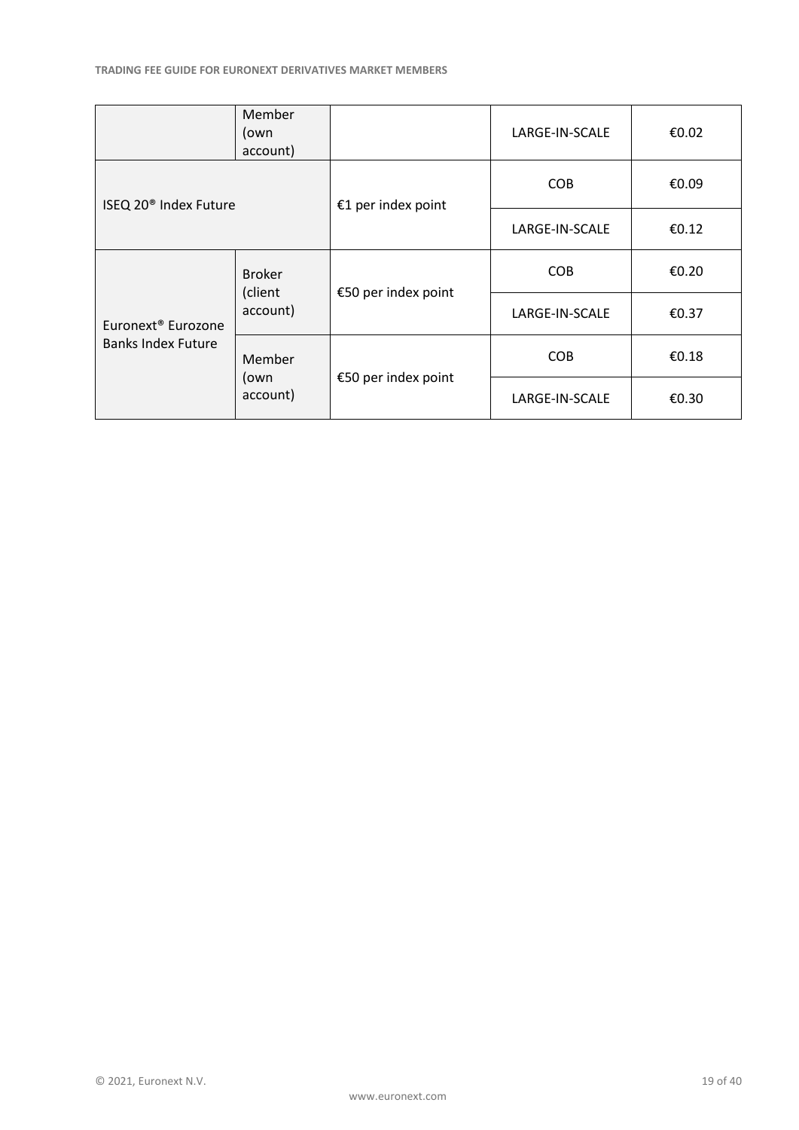|                                   | <b>Member</b><br>(own<br>account) |                     | LARGE-IN-SCALE | €0.02 |
|-----------------------------------|-----------------------------------|---------------------|----------------|-------|
| ISEQ 20 <sup>®</sup> Index Future |                                   | €1 per index point  | <b>COB</b>     | €0.09 |
|                                   |                                   |                     | LARGE-IN-SCALE | €0.12 |
|                                   | <b>Broker</b>                     |                     | <b>COB</b>     | €0.20 |
| Euronext <sup>®</sup> Eurozone    | (client<br>account)               | €50 per index point | LARGE-IN-SCALE | €0.37 |
| <b>Banks Index Future</b>         | Member                            |                     | <b>COB</b>     | €0.18 |
|                                   | (own<br>account)                  | €50 per index point | LARGE-IN-SCALE | €0.30 |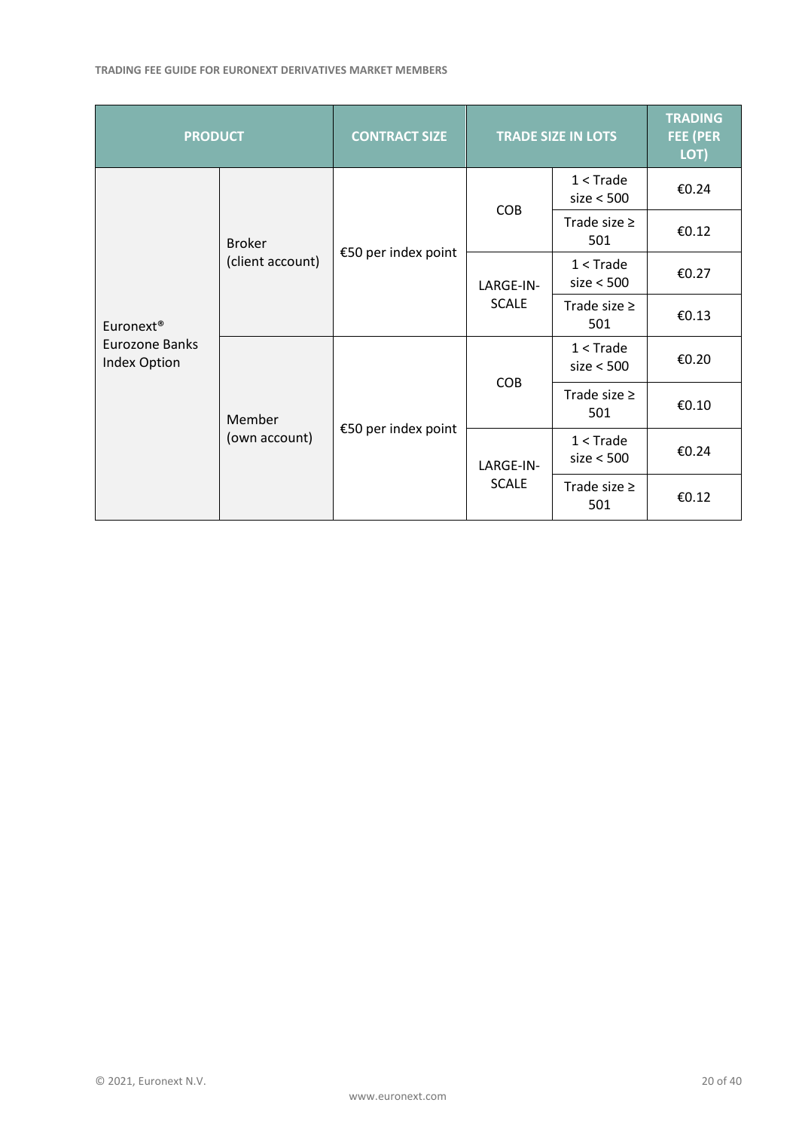#### **TRADING FEE GUIDE FOR EURONEXT DERIVATIVES MARKET MEMBERS**

| <b>PRODUCT</b>                                             |                     | <b>CONTRACT SIZE</b>      |                           | <b>TRADE SIZE IN LOTS</b> | <b>TRADING</b><br><b>FEE (PER</b><br>LOT) |
|------------------------------------------------------------|---------------------|---------------------------|---------------------------|---------------------------|-------------------------------------------|
| <b>Broker</b><br>(client account)<br>Euronext <sup>®</sup> | €50 per index point |                           | $1 <$ Trade<br>size < 500 | €0.24                     |                                           |
|                                                            |                     | <b>COB</b>                | Trade size $\geq$<br>501  | €0.12                     |                                           |
|                                                            |                     | LARGE-IN-<br><b>SCALE</b> | $1 <$ Trade<br>size < 500 | €0.27                     |                                           |
|                                                            |                     |                           | Trade size $\geq$<br>501  | €0.13                     |                                           |
| Eurozone Banks<br>Index Option<br>Member<br>(own account)  | €50 per index point | <b>COB</b>                | $1 <$ Trade<br>size < 500 | €0.20                     |                                           |
|                                                            |                     |                           | Trade size $\geq$<br>501  | €0.10                     |                                           |
|                                                            |                     | LARGE-IN-<br><b>SCALE</b> | $1 <$ Trade<br>size < 500 | €0.24                     |                                           |
|                                                            |                     |                           | Trade size $\geq$<br>501  | €0.12                     |                                           |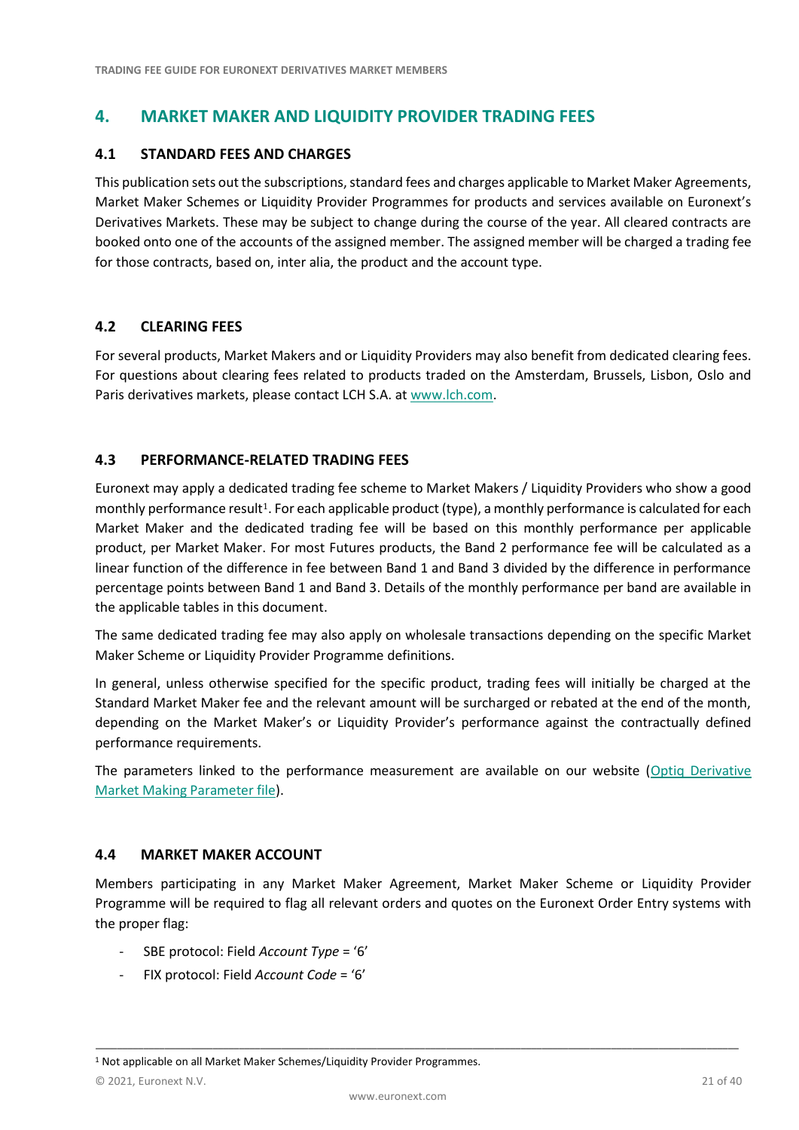# <span id="page-20-0"></span>**4. MARKET MAKER AND LIQUIDITY PROVIDER TRADING FEES**

## <span id="page-20-1"></span>**4.1 STANDARD FEES AND CHARGES**

This publication sets out the subscriptions, standard fees and charges applicable to Market Maker Agreements, Market Maker Schemes or Liquidity Provider Programmes for products and services available on Euronext's Derivatives Markets. These may be subject to change during the course of the year. All cleared contracts are booked onto one of the accounts of the assigned member. The assigned member will be charged a trading fee for those contracts, based on, inter alia, the product and the account type.

## <span id="page-20-2"></span>**4.2 CLEARING FEES**

For several products, Market Makers and or Liquidity Providers may also benefit from dedicated clearing fees. For questions about clearing fees related to products traded on the Amsterdam, Brussels, Lisbon, Oslo and Paris derivatives markets, please contact LCH S.A. at [www.lch.com.](http://www.lch.com/)

# <span id="page-20-3"></span>**4.3 PERFORMANCE-RELATED TRADING FEES**

Euronext may apply a dedicated trading fee scheme to Market Makers / Liquidity Providers who show a good monthly performance result<sup>1</sup>. For each applicable product (type), a monthly performance is calculated for each Market Maker and the dedicated trading fee will be based on this monthly performance per applicable product, per Market Maker. For most Futures products, the Band 2 performance fee will be calculated as a linear function of the difference in fee between Band 1 and Band 3 divided by the difference in performance percentage points between Band 1 and Band 3. Details of the monthly performance per band are available in the applicable tables in this document.

The same dedicated trading fee may also apply on wholesale transactions depending on the specific Market Maker Scheme or Liquidity Provider Programme definitions.

In general, unless otherwise specified for the specific product, trading fees will initially be charged at the Standard Market Maker fee and the relevant amount will be surcharged or rebated at the end of the month, depending on the Market Maker's or Liquidity Provider's performance against the contractually defined performance requirements.

The parameters linked to the performance measurement are available on our website [\(Optiq Derivative](https://connect2.euronext.com/en/trade/market-makers-liquidity-providers)  [Market Making Parameter file\)](https://connect2.euronext.com/en/trade/market-makers-liquidity-providers).

#### <span id="page-20-4"></span>**4.4 MARKET MAKER ACCOUNT**

Members participating in any Market Maker Agreement, Market Maker Scheme or Liquidity Provider Programme will be required to flag all relevant orders and quotes on the Euronext Order Entry systems with the proper flag:

- SBE protocol: Field *Account Type* = '6'
- FIX protocol: Field *Account Code* = '6'

<sup>&</sup>lt;sup>1</sup> Not applicable on all Market Maker Schemes/Liquidity Provider Programmes.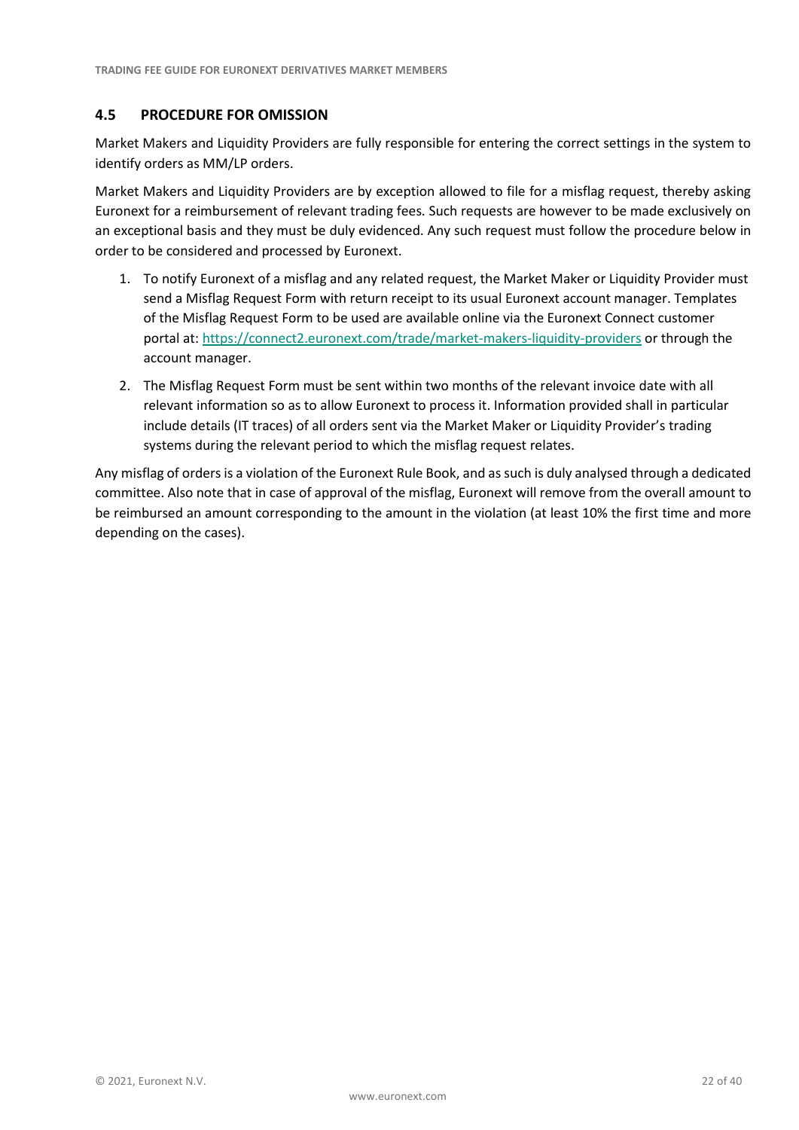# <span id="page-21-0"></span>**4.5 PROCEDURE FOR OMISSION**

Market Makers and Liquidity Providers are fully responsible for entering the correct settings in the system to identify orders as MM/LP orders.

Market Makers and Liquidity Providers are by exception allowed to file for a misflag request, thereby asking Euronext for a reimbursement of relevant trading fees. Such requests are however to be made exclusively on an exceptional basis and they must be duly evidenced. Any such request must follow the procedure below in order to be considered and processed by Euronext.

- 1. To notify Euronext of a misflag and any related request, the Market Maker or Liquidity Provider must send a Misflag Request Form with return receipt to its usual Euronext account manager. Templates of the Misflag Request Form to be used are available online via the Euronext Connect customer portal at[: https://connect2.euronext.com/trade/market-makers-liquidity-providers](https://connect2.euronext.com/trade/market-makers-liquidity-providers) or through the account manager.
- 2. The Misflag Request Form must be sent within two months of the relevant invoice date with all relevant information so as to allow Euronext to process it. Information provided shall in particular include details (IT traces) of all orders sent via the Market Maker or Liquidity Provider's trading systems during the relevant period to which the misflag request relates.

Any misflag of orders is a violation of the Euronext Rule Book, and as such is duly analysed through a dedicated committee. Also note that in case of approval of the misflag, Euronext will remove from the overall amount to be reimbursed an amount corresponding to the amount in the violation (at least 10% the first time and more depending on the cases).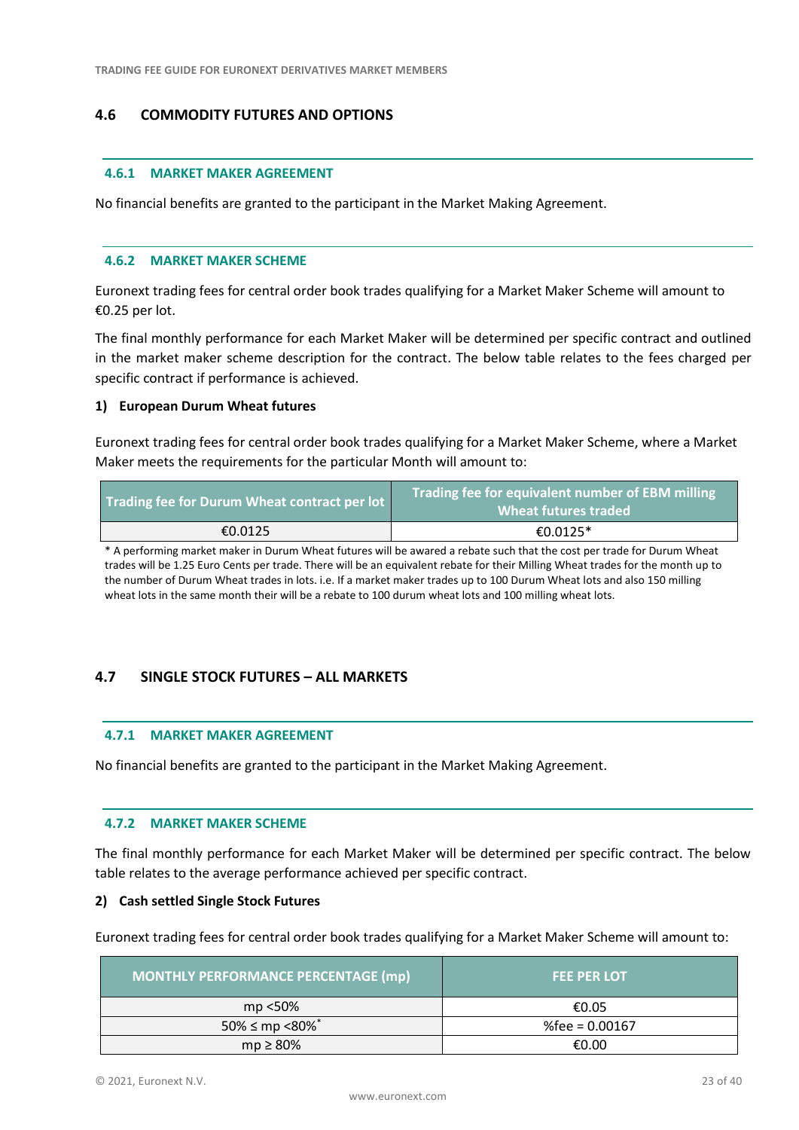# <span id="page-22-0"></span>**4.6 COMMODITY FUTURES AND OPTIONS**

#### **4.6.1 MARKET MAKER AGREEMENT**

No financial benefits are granted to the participant in the Market Making Agreement.

#### **4.6.2 MARKET MAKER SCHEME**

Euronext trading fees for central order book trades qualifying for a Market Maker Scheme will amount to €0.25 per lot.

The final monthly performance for each Market Maker will be determined per specific contract and outlined in the market maker scheme description for the contract. The below table relates to the fees charged per specific contract if performance is achieved.

#### **1) European Durum Wheat futures**

Euronext trading fees for central order book trades qualifying for a Market Maker Scheme, where a Market Maker meets the requirements for the particular Month will amount to:

| Trading fee for Durum Wheat contract per lot | Trading fee for equivalent number of EBM milling<br>Wheat futures traded |
|----------------------------------------------|--------------------------------------------------------------------------|
| €0.0125                                      | €0.0125*                                                                 |

\* A performing market maker in Durum Wheat futures will be awared a rebate such that the cost per trade for Durum Wheat trades will be 1.25 Euro Cents per trade. There will be an equivalent rebate for their Milling Wheat trades for the month up to the number of Durum Wheat trades in lots. i.e. If a market maker trades up to 100 Durum Wheat lots and also 150 milling wheat lots in the same month their will be a rebate to 100 durum wheat lots and 100 milling wheat lots.

# <span id="page-22-1"></span>**4.7 SINGLE STOCK FUTURES – ALL MARKETS**

#### **4.7.1 MARKET MAKER AGREEMENT**

No financial benefits are granted to the participant in the Market Making Agreement.

#### **4.7.2 MARKET MAKER SCHEME**

The final monthly performance for each Market Maker will be determined per specific contract. The below table relates to the average performance achieved per specific contract.

#### **2) Cash settled Single Stock Futures**

Euronext trading fees for central order book trades qualifying for a Market Maker Scheme will amount to:

| MONTHLY PERFORMANCE PERCENTAGE (mp) | <b>FEE PER LOT</b> |
|-------------------------------------|--------------------|
| mp <50%                             | €0.05              |
| $50\% \le mp \le 80\%$              | %fee = $0.00167$   |
| $mp \geq 80\%$                      | €0.00              |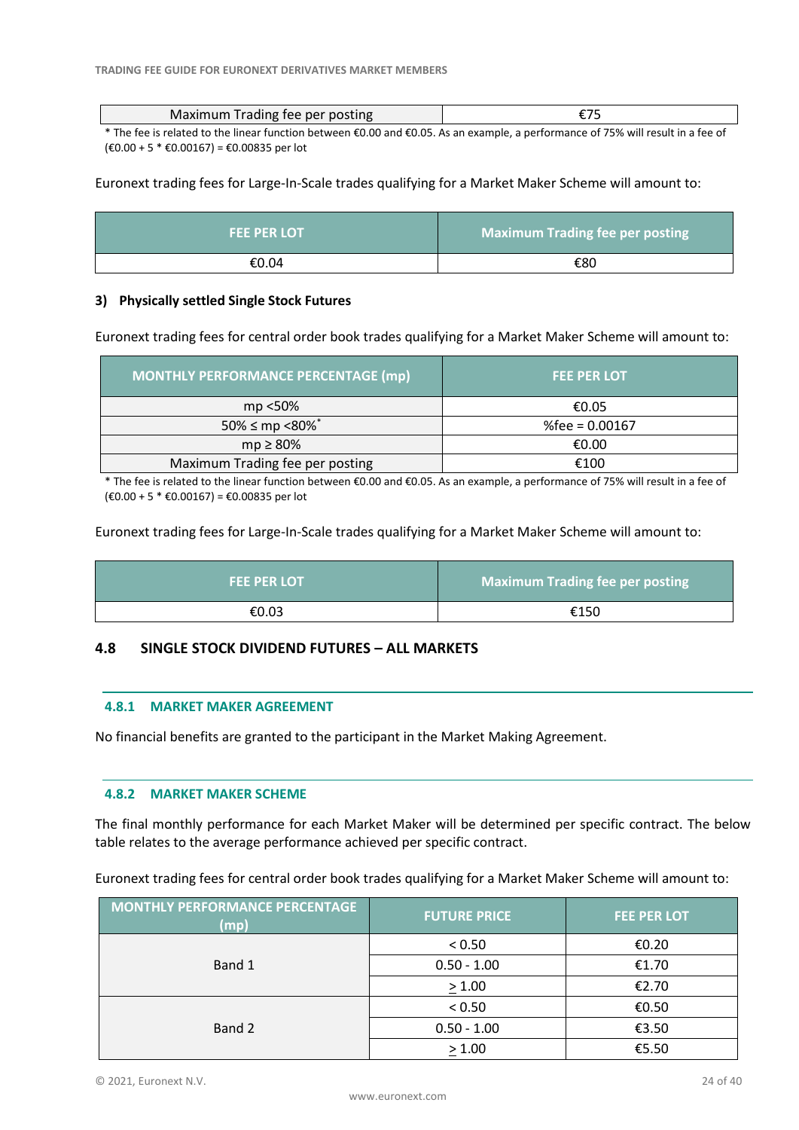| Maximum Trading fee per posting                                                                                                   |  |
|-----------------------------------------------------------------------------------------------------------------------------------|--|
| $\star$ The factor decision in the configuration because colored completed as a consequence of $\pi$ and collected as $f$ and $f$ |  |

The fee is related to the linear function between €0.00 and €0.05. As an example, a performance of 75% will result in a fee of (€0.00 + 5 \* €0.00167) = €0.00835 per lot

Euronext trading fees for Large-In-Scale trades qualifying for a Market Maker Scheme will amount to:

| <b>FEE PER LOT</b> | <b>Maximum Trading fee per posting</b> |
|--------------------|----------------------------------------|
| €0.04              | €80                                    |

#### **3) Physically settled Single Stock Futures**

Euronext trading fees for central order book trades qualifying for a Market Maker Scheme will amount to:

| <b>MONTHLY PERFORMANCE PERCENTAGE (mp)</b> | <b>FEE PER LOT</b> |
|--------------------------------------------|--------------------|
| mp <50%                                    | €0.05              |
| 50% $\leq$ mp <80% $*$                     | %fee = $0.00167$   |
| $mp \geq 80\%$                             | €0.00              |
| Maximum Trading fee per posting            | €100               |

\* The fee is related to the linear function between €0.00 and €0.05. As an example, a performance of 75% will result in a fee of (€0.00 + 5 \* €0.00167) = €0.00835 per lot

Euronext trading fees for Large-In-Scale trades qualifying for a Market Maker Scheme will amount to:

| <b>FEE PER LOT</b> | Maximum Trading fee per posting |
|--------------------|---------------------------------|
| €0.03              | €150                            |

#### <span id="page-23-0"></span>**4.8 SINGLE STOCK DIVIDEND FUTURES – ALL MARKETS**

#### **4.8.1 MARKET MAKER AGREEMENT**

No financial benefits are granted to the participant in the Market Making Agreement.

#### **4.8.2 MARKET MAKER SCHEME**

The final monthly performance for each Market Maker will be determined per specific contract. The below table relates to the average performance achieved per specific contract.

Euronext trading fees for central order book trades qualifying for a Market Maker Scheme will amount to:

| <b>MONTHLY PERFORMANCE PERCENTAGE</b><br>(mp) | <b>FUTURE PRICE</b> | <b>FEE PER LOT</b> |
|-----------------------------------------------|---------------------|--------------------|
|                                               | < 0.50              | €0.20              |
| Band 1                                        | $0.50 - 1.00$       | €1.70              |
|                                               | > 1.00              | €2.70              |
|                                               | < 0.50              | €0.50              |
| Band 2                                        | $0.50 - 1.00$       | €3.50              |
|                                               | > 1.00              | €5.50              |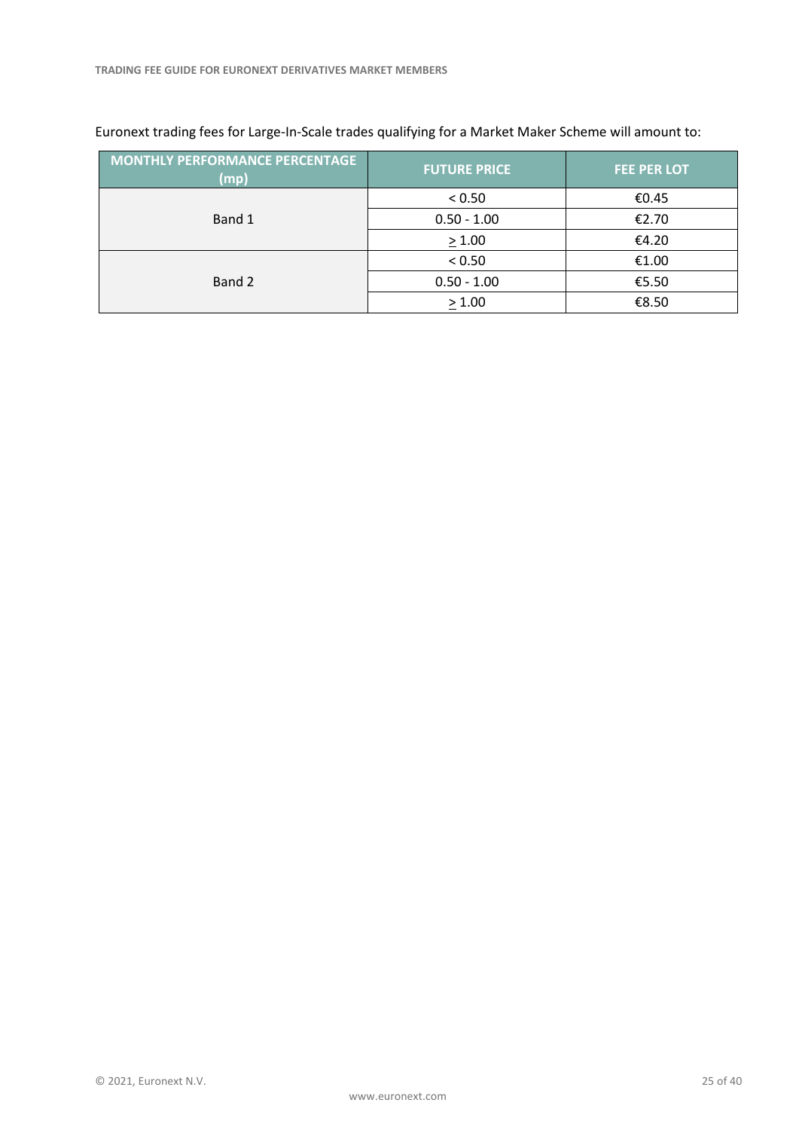| <b>MONTHLY PERFORMANCE PERCENTAGE</b><br>(mp) | <b>FUTURE PRICE</b> | <b>FEE PER LOT</b> |
|-----------------------------------------------|---------------------|--------------------|
|                                               | < 0.50              | €0.45              |
| Band 1                                        | $0.50 - 1.00$       | €2.70              |
|                                               | > 1.00              | €4.20              |
|                                               | < 0.50              | €1.00              |
| Band 2                                        | $0.50 - 1.00$       | €5.50              |
|                                               | > 1.00              | €8.50              |

# Euronext trading fees for Large-In-Scale trades qualifying for a Market Maker Scheme will amount to: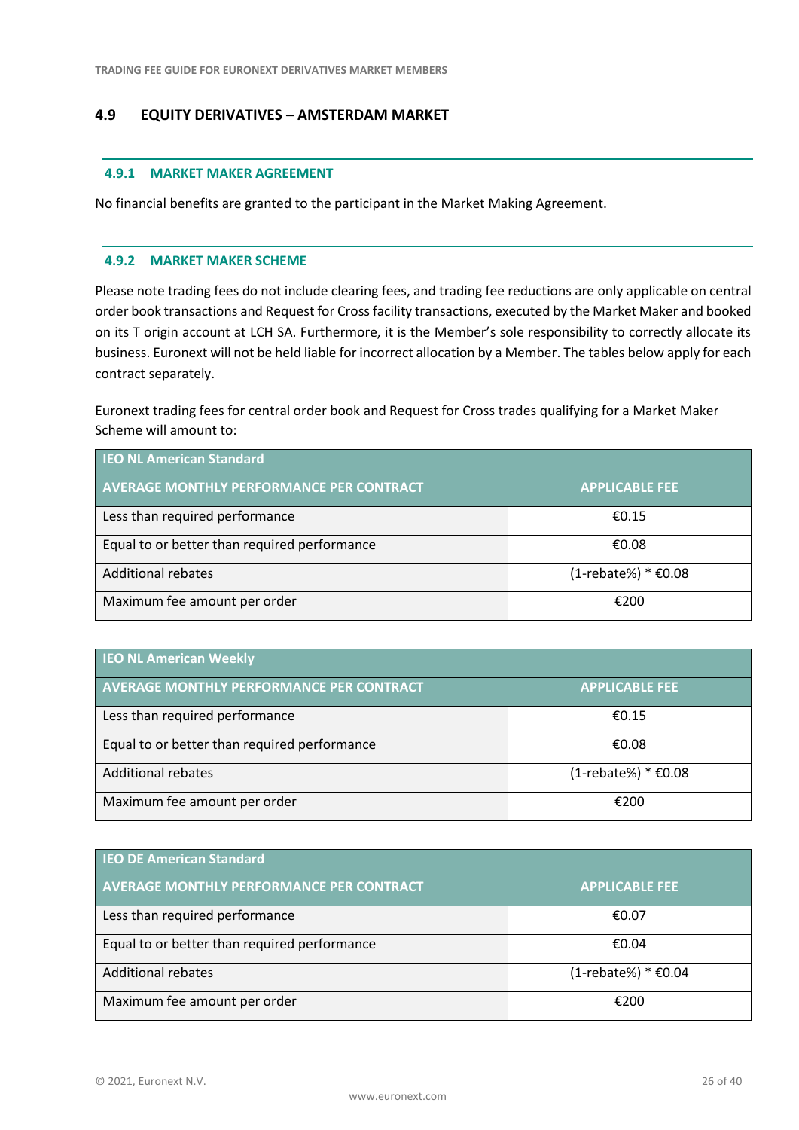# <span id="page-25-0"></span>**4.9 EQUITY DERIVATIVES – AMSTERDAM MARKET**

#### **4.9.1 MARKET MAKER AGREEMENT**

No financial benefits are granted to the participant in the Market Making Agreement.

#### **4.9.2 MARKET MAKER SCHEME**

Please note trading fees do not include clearing fees, and trading fee reductions are only applicable on central order book transactions and Request for Cross facility transactions, executed by the Market Maker and booked on its T origin account at LCH SA. Furthermore, it is the Member's sole responsibility to correctly allocate its business. Euronext will not be held liable for incorrect allocation by a Member. The tables below apply for each contract separately.

Euronext trading fees for central order book and Request for Cross trades qualifying for a Market Maker Scheme will amount to:

| <b>IEO NL American Standard</b>                 |                       |  |
|-------------------------------------------------|-----------------------|--|
| <b>AVERAGE MONTHLY PERFORMANCE PER CONTRACT</b> | <b>APPLICABLE FEE</b> |  |
| Less than required performance                  | £0.15                 |  |
| Equal to or better than required performance    | €0.08                 |  |
| <b>Additional rebates</b>                       | (1-rebate%) * €0.08   |  |
| Maximum fee amount per order                    | €200                  |  |

| <b>IEO NL American Weekly</b>                   |                        |  |
|-------------------------------------------------|------------------------|--|
| <b>AVERAGE MONTHLY PERFORMANCE PER CONTRACT</b> | <b>APPLICABLE FEE</b>  |  |
| Less than required performance                  | €0.15                  |  |
| Equal to or better than required performance    | €0.08                  |  |
| Additional rebates                              | $(1$ -rebate%) * €0.08 |  |
| Maximum fee amount per order                    | €200                   |  |

| <b>IEO DE American Standard</b>                 |                        |  |
|-------------------------------------------------|------------------------|--|
| <b>AVERAGE MONTHLY PERFORMANCE PER CONTRACT</b> | <b>APPLICABLE FEE</b>  |  |
| Less than required performance                  | €0.07                  |  |
| Equal to or better than required performance    | €0.04                  |  |
| Additional rebates                              | $(1$ -rebate%) * €0.04 |  |
| Maximum fee amount per order                    | €200                   |  |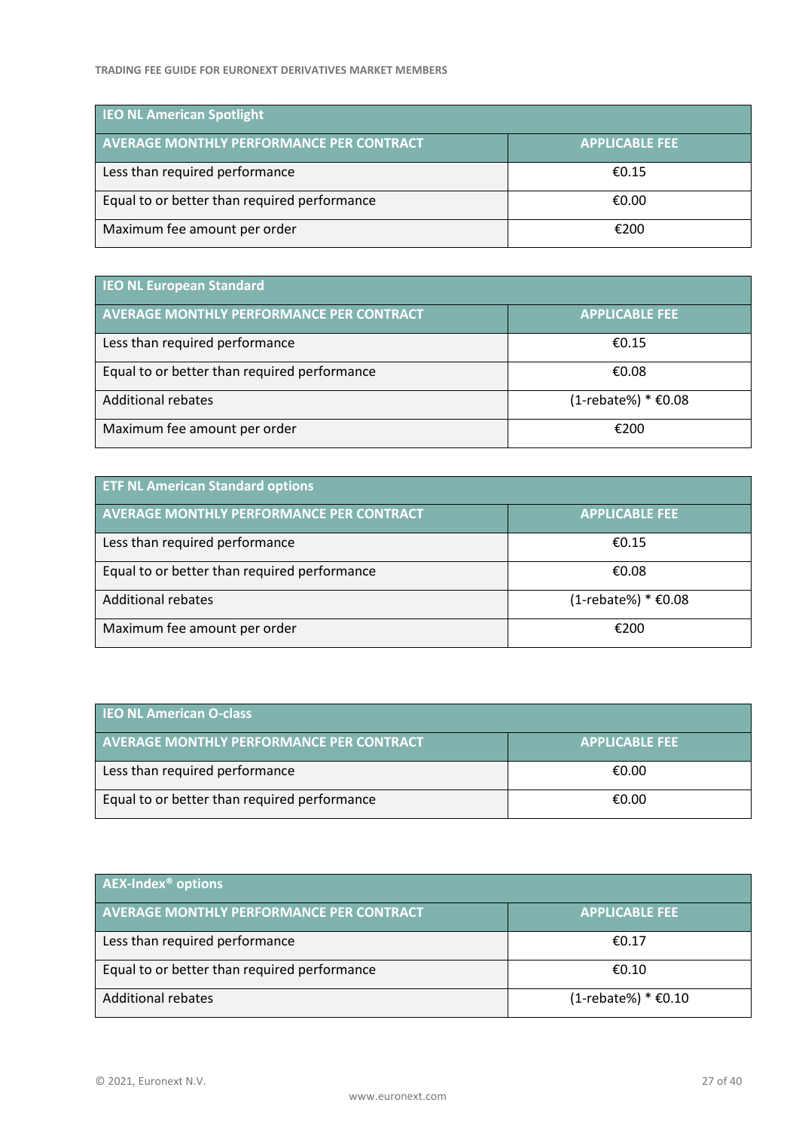| <b>IEO NL American Spotlight</b>                |                       |  |
|-------------------------------------------------|-----------------------|--|
| <b>AVERAGE MONTHLY PERFORMANCE PER CONTRACT</b> | <b>APPLICABLE FEE</b> |  |
| Less than required performance                  | £0.15                 |  |
| Equal to or better than required performance    | €0.00                 |  |
| Maximum fee amount per order                    | €200                  |  |

| <b>IEO NL European Standard</b>                 |                        |  |
|-------------------------------------------------|------------------------|--|
| <b>AVERAGE MONTHLY PERFORMANCE PER CONTRACT</b> | <b>APPLICABLE FEE</b>  |  |
| Less than required performance                  | €0.15                  |  |
| Equal to or better than required performance    | €0.08                  |  |
| Additional rebates                              | $(1$ -rebate%) * €0.08 |  |
| Maximum fee amount per order                    | €200                   |  |

| <b>ETF NL American Standard options</b>         |                        |  |
|-------------------------------------------------|------------------------|--|
| <b>AVERAGE MONTHLY PERFORMANCE PER CONTRACT</b> | <b>APPLICABLE FEE</b>  |  |
| Less than required performance                  | €0.15                  |  |
| Equal to or better than required performance    | €0.08                  |  |
| <b>Additional rebates</b>                       | $(1$ -rebate%) * €0.08 |  |
| Maximum fee amount per order                    | €200                   |  |

| <b>IEO NL American O-class</b>                  |                       |  |
|-------------------------------------------------|-----------------------|--|
| <b>AVERAGE MONTHLY PERFORMANCE PER CONTRACT</b> | <b>APPLICABLE FEE</b> |  |
| Less than required performance                  | €0.00                 |  |
| Equal to or better than required performance    | €0.00                 |  |

| <b>AEX-Index<sup>®</sup> options</b>         |                        |  |
|----------------------------------------------|------------------------|--|
| AVERAGE MONTHLY PERFORMANCE PER CONTRACT     | <b>APPLICABLE FEE</b>  |  |
| Less than required performance               | €0.17                  |  |
| Equal to or better than required performance | €0.10                  |  |
| <b>Additional rebates</b>                    | $(1$ -rebate%) * €0.10 |  |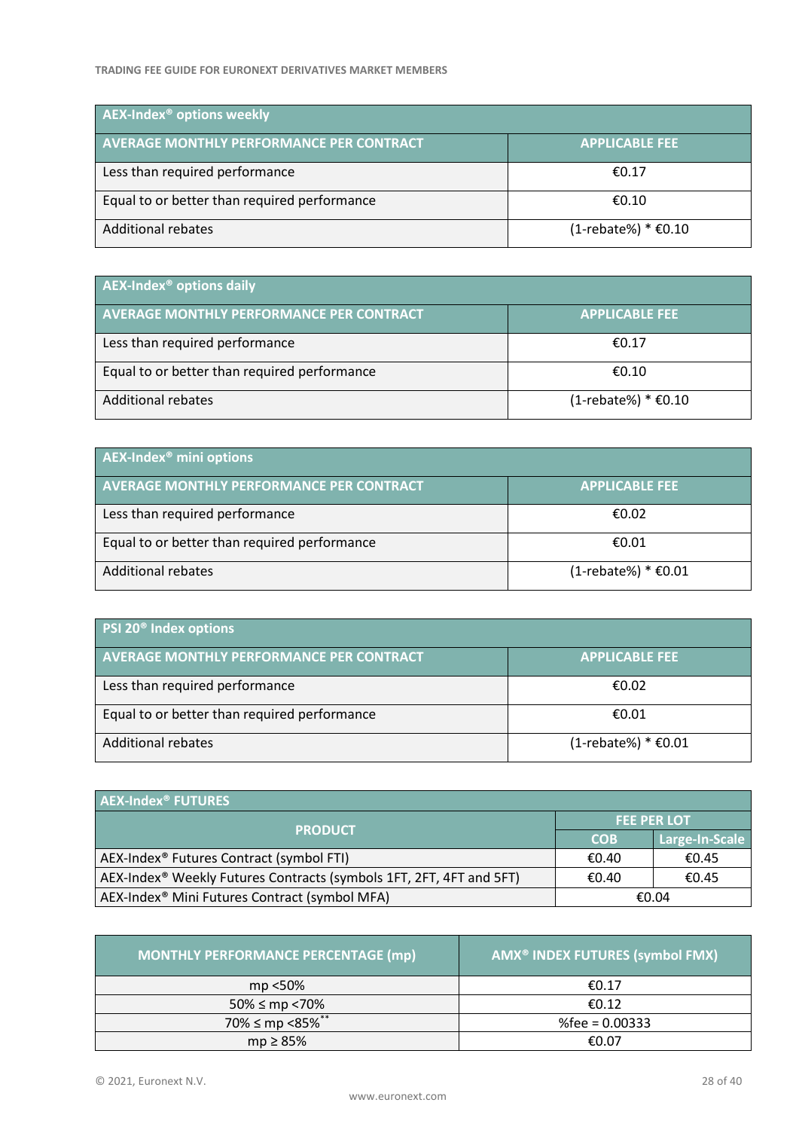| <b>AEX-Index<sup>®</sup> options weekly</b>     |                        |  |
|-------------------------------------------------|------------------------|--|
| <b>AVERAGE MONTHLY PERFORMANCE PER CONTRACT</b> | <b>APPLICABLE FEE</b>  |  |
| Less than required performance                  | €0.17                  |  |
| Equal to or better than required performance    | €0.10                  |  |
| Additional rebates                              | $(1$ -rebate%) * €0.10 |  |

| $\blacksquare$ AEX-Index <sup>®</sup> options daily |                        |  |
|-----------------------------------------------------|------------------------|--|
| <b>AVERAGE MONTHLY PERFORMANCE PER CONTRACT</b>     | <b>APPLICABLE FEE</b>  |  |
| Less than required performance                      | €0.17                  |  |
| Equal to or better than required performance        | €0.10                  |  |
| Additional rebates                                  | $(1$ -rebate%) * €0.10 |  |

| AEX-Index <sup>®</sup> mini options             |                        |  |
|-------------------------------------------------|------------------------|--|
| <b>AVERAGE MONTHLY PERFORMANCE PER CONTRACT</b> | <b>APPLICABLE FEE</b>  |  |
| Less than required performance                  | €0.02                  |  |
| Equal to or better than required performance    | €0.01                  |  |
| Additional rebates                              | $(1$ -rebate%) * €0.01 |  |

| <b>PSI 20<sup>®</sup> Index options</b>         |                        |  |
|-------------------------------------------------|------------------------|--|
| <b>AVERAGE MONTHLY PERFORMANCE PER CONTRACT</b> | <b>APPLICABLE FEE</b>  |  |
| Less than required performance                  | €0.02                  |  |
| Equal to or better than required performance    | €0.01                  |  |
| Additional rebates                              | $(1$ -rebate%) * €0.01 |  |

| <b>AEX-Index<sup>®</sup> FUTURES</b>                                            |                    |                |
|---------------------------------------------------------------------------------|--------------------|----------------|
| <b>PRODUCT</b>                                                                  | <b>FEE PER LOT</b> |                |
|                                                                                 | <b>COB</b>         | Large-In-Scale |
| AEX-Index <sup>®</sup> Futures Contract (symbol FTI)                            | €0.40              | €0.45          |
| AEX-Index <sup>®</sup> Weekly Futures Contracts (symbols 1FT, 2FT, 4FT and 5FT) | €0.40              | €0.45          |
| AEX-Index <sup>®</sup> Mini Futures Contract (symbol MFA)                       |                    | €0.04          |

| <b>MONTHLY PERFORMANCE PERCENTAGE (mp)</b> | AMX <sup>®</sup> INDEX FUTURES (symbol FMX) |
|--------------------------------------------|---------------------------------------------|
| mp <50%                                    | €0.17                                       |
| $50\% \le mp \lt 70\%$                     | €0.12                                       |
| 70% ≤ mp <85% <sup>**</sup>                | $%$ fee = 0.00333                           |
| $mp \geq 85\%$                             | €0.07                                       |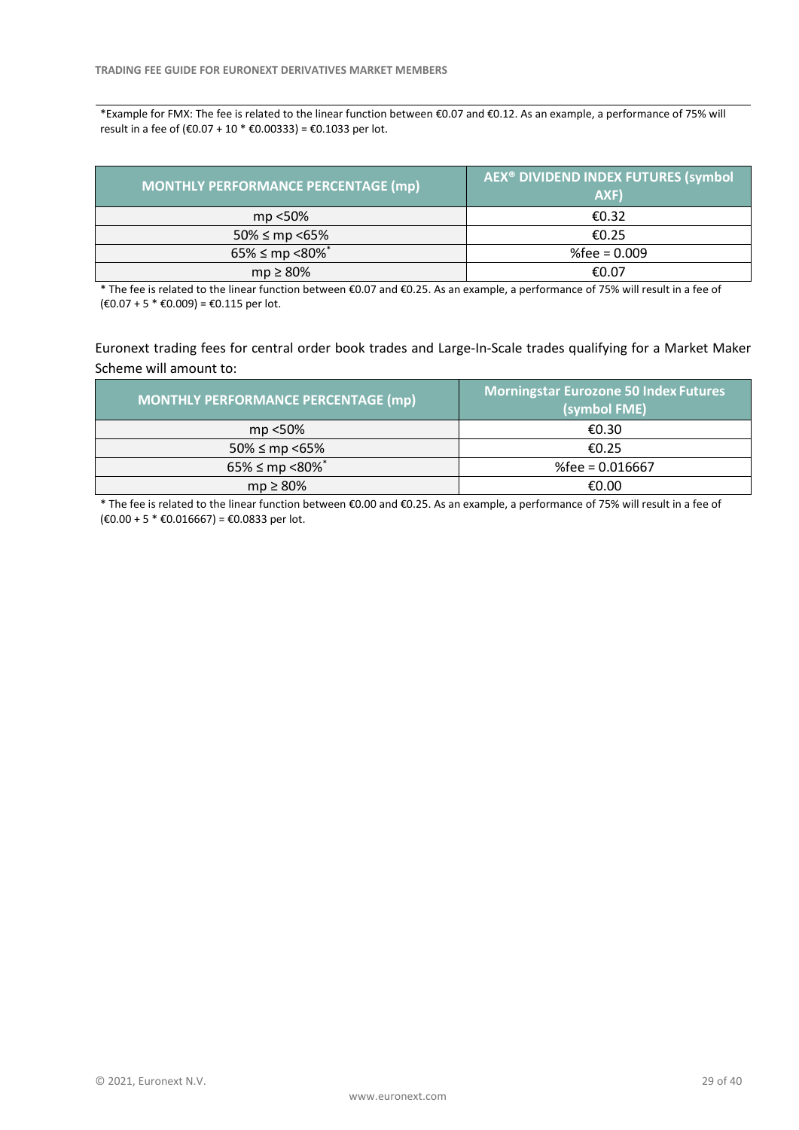\*Example for FMX: The fee is related to the linear function between €0.07 and €0.12. As an example, a performance of 75% will result in a fee of (€0.07 + 10  $*$  €0.00333) = €0.1033 per lot.

| MONTHLY PERFORMANCE PERCENTAGE (mp) | AEX <sup>®</sup> DIVIDEND INDEX FUTURES (symbol<br>AXF) |
|-------------------------------------|---------------------------------------------------------|
| mp <50%                             | €0.32                                                   |
| $50\% \le mp \le 65\%$              | €0.25                                                   |
| $65\% \le mp \le 80\%$              | %fee = $0.009$                                          |
| $mp \geq 80\%$                      | €0.07                                                   |

\* The fee is related to the linear function between €0.07 and €0.25. As an example, a performance of 75% will result in a fee of  $(€0.07 + 5 * €0.009) = €0.115$  per lot.

Euronext trading fees for central order book trades and Large-In-Scale trades qualifying for a Market Maker Scheme will amount to:

| <b>MONTHLY PERFORMANCE PERCENTAGE (mp)</b> | <b>Morningstar Eurozone 50 Index Futures</b><br>(symbol FME) |
|--------------------------------------------|--------------------------------------------------------------|
| mp <50%                                    | €0.30                                                        |
| $50\% \le mp \le 65\%$                     | €0.25                                                        |
| $65\% \le mp \le 80\%$ <sup>*</sup>        | %fee = $0.016667$                                            |
| $mp \geq 80\%$                             | €0.00                                                        |

\* The fee is related to the linear function between €0.00 and €0.25. As an example, a performance of 75% will result in a fee of (€0.00 + 5 \* €0.016667) = €0.0833 per lot.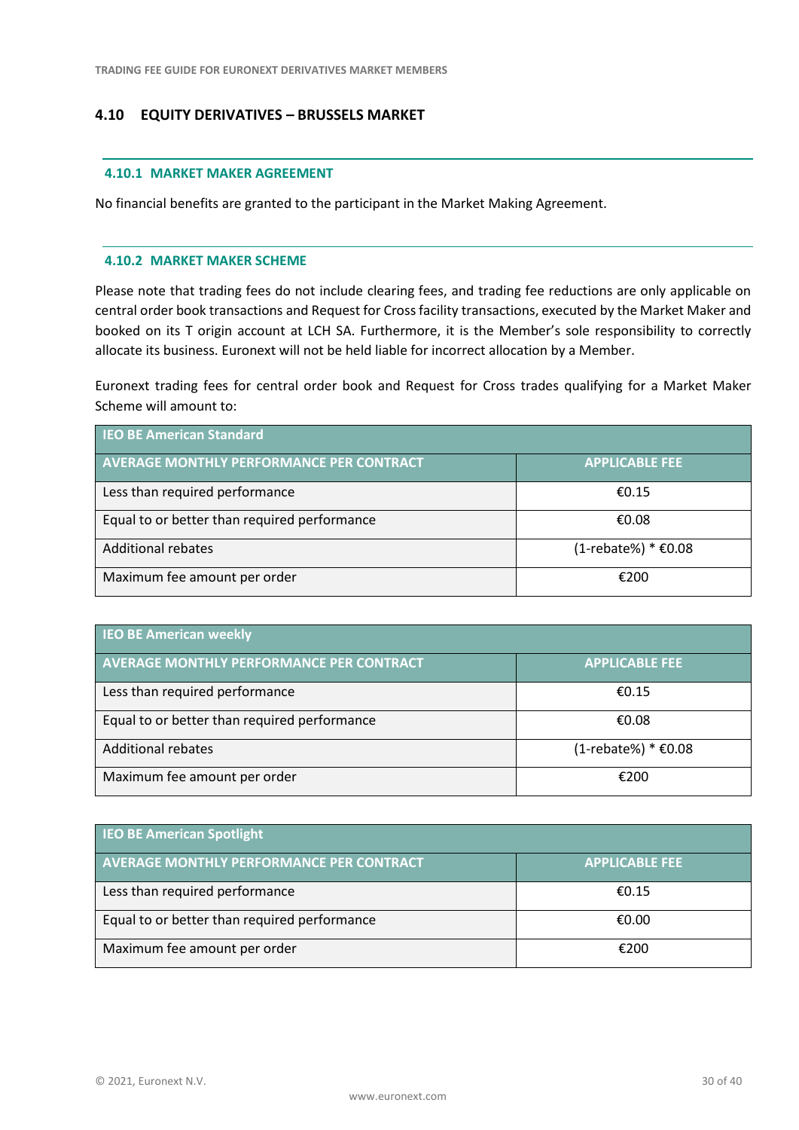# <span id="page-29-0"></span>**4.10 EQUITY DERIVATIVES – BRUSSELS MARKET**

#### **4.10.1 MARKET MAKER AGREEMENT**

No financial benefits are granted to the participant in the Market Making Agreement.

#### **4.10.2 MARKET MAKER SCHEME**

Please note that trading fees do not include clearing fees, and trading fee reductions are only applicable on central order book transactions and Request for Cross facility transactions, executed by the Market Maker and booked on its T origin account at LCH SA. Furthermore, it is the Member's sole responsibility to correctly allocate its business. Euronext will not be held liable for incorrect allocation by a Member.

Euronext trading fees for central order book and Request for Cross trades qualifying for a Market Maker Scheme will amount to:

| <b>IEO BE American Standard</b>                 |                       |  |
|-------------------------------------------------|-----------------------|--|
| <b>AVERAGE MONTHLY PERFORMANCE PER CONTRACT</b> | <b>APPLICABLE FEE</b> |  |
| Less than required performance                  | £0.15                 |  |
| Equal to or better than required performance    | €0.08                 |  |
| <b>Additional rebates</b>                       | (1-rebate%) * €0.08   |  |
| Maximum fee amount per order                    | €200                  |  |

| <b>IEO BE American weekly</b>                   |                        |  |
|-------------------------------------------------|------------------------|--|
| <b>AVERAGE MONTHLY PERFORMANCE PER CONTRACT</b> | <b>APPLICABLE FEE</b>  |  |
| Less than required performance                  | €0.15                  |  |
| Equal to or better than required performance    | €0.08                  |  |
| <b>Additional rebates</b>                       | $(1$ -rebate%) * €0.08 |  |
| Maximum fee amount per order                    | €200                   |  |

| <b>IEO BE American Spotlight</b>                |                       |
|-------------------------------------------------|-----------------------|
| <b>AVERAGE MONTHLY PERFORMANCE PER CONTRACT</b> | <b>APPLICABLE FEE</b> |
| Less than required performance                  | £0.15                 |
| Equal to or better than required performance    | €0.00                 |
| Maximum fee amount per order                    | €200                  |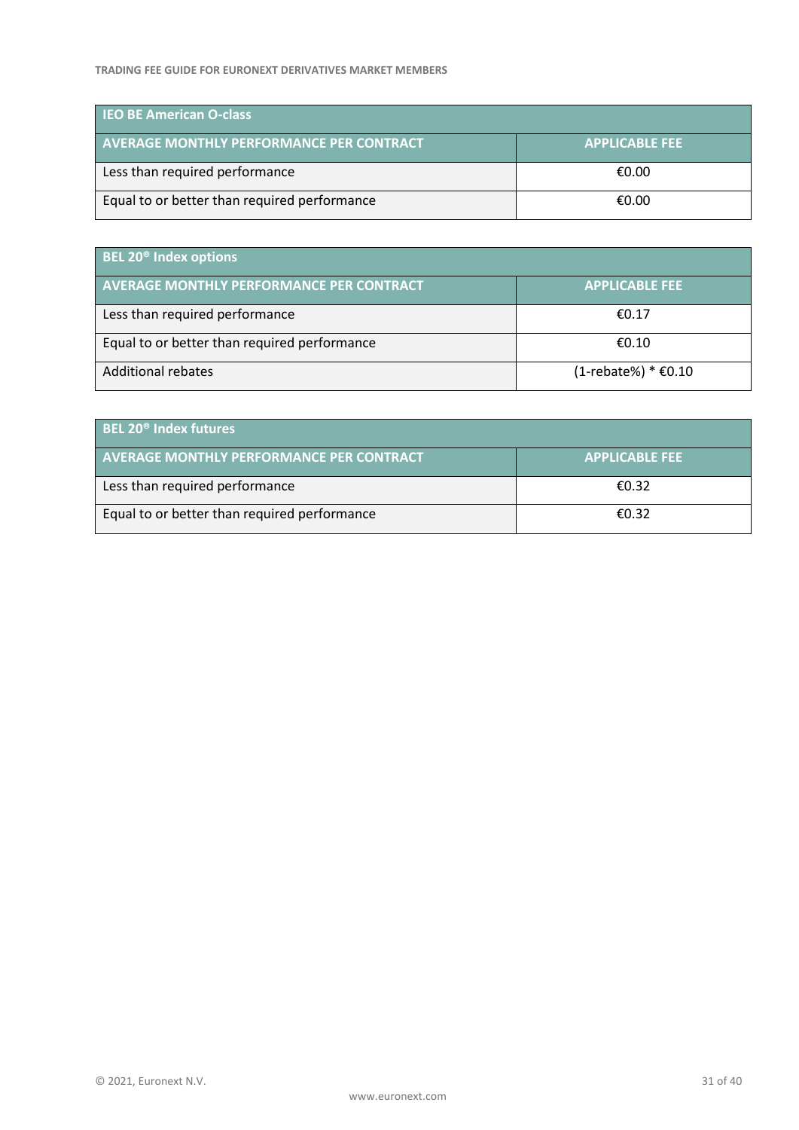| <b>IEO BE American O-class</b>                  |                       |
|-------------------------------------------------|-----------------------|
| <b>AVERAGE MONTHLY PERFORMANCE PER CONTRACT</b> | <b>APPLICABLE FEE</b> |
| Less than required performance                  | €0.00                 |
| Equal to or better than required performance    | €0.00                 |

| <b>BEL 20<sup>®</sup> Index options</b>         |                        |
|-------------------------------------------------|------------------------|
| <b>AVERAGE MONTHLY PERFORMANCE PER CONTRACT</b> | <b>APPLICABLE FEE</b>  |
| Less than required performance                  | €0.17                  |
| Equal to or better than required performance    | €0.10                  |
| <b>Additional rebates</b>                       | $(1$ -rebate%) * €0.10 |

| <b>BEL 20<sup>®</sup> Index futures</b>         |                       |
|-------------------------------------------------|-----------------------|
| <b>AVERAGE MONTHLY PERFORMANCE PER CONTRACT</b> | <b>APPLICABLE FEE</b> |
| Less than required performance                  | €0.32                 |
| Equal to or better than required performance    | €0.32                 |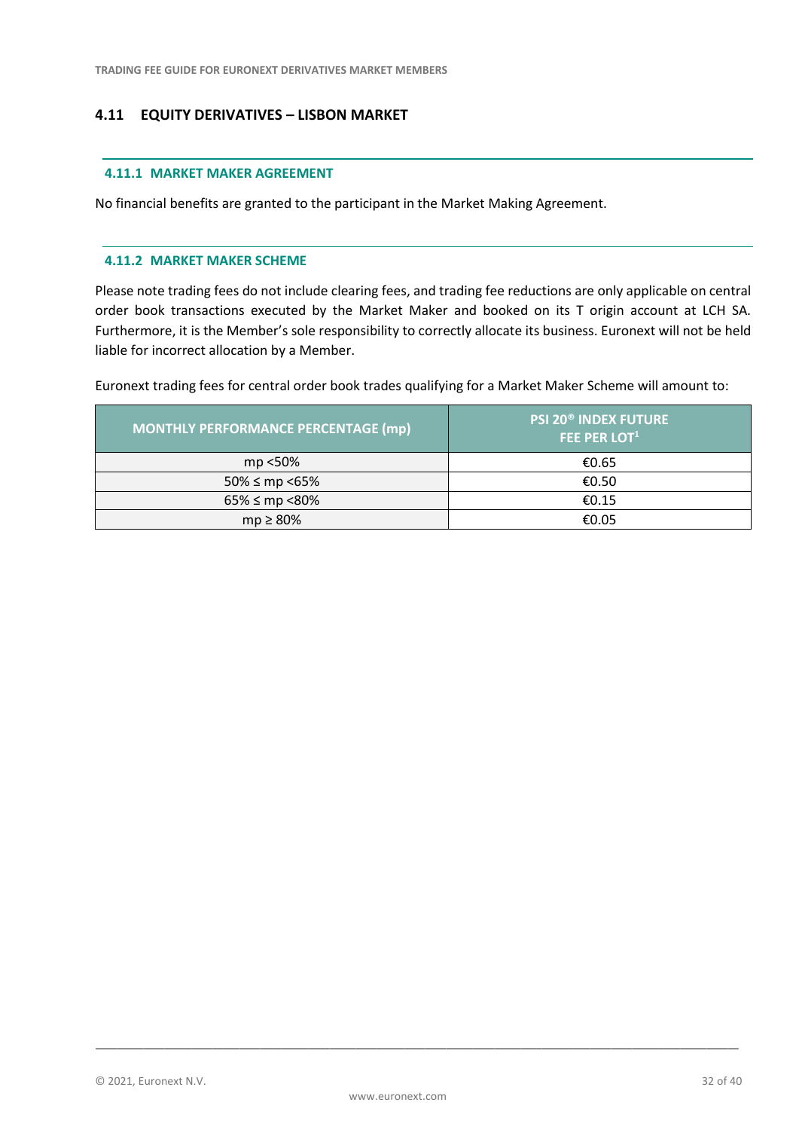# <span id="page-31-0"></span>**4.11 EQUITY DERIVATIVES – LISBON MARKET**

#### **4.11.1 MARKET MAKER AGREEMENT**

No financial benefits are granted to the participant in the Market Making Agreement.

#### **4.11.2 MARKET MAKER SCHEME**

Please note trading fees do not include clearing fees, and trading fee reductions are only applicable on central order book transactions executed by the Market Maker and booked on its T origin account at LCH SA. Furthermore, it is the Member's sole responsibility to correctly allocate its business. Euronext will not be held liable for incorrect allocation by a Member.

Euronext trading fees for central order book trades qualifying for a Market Maker Scheme will amount to:

| <b>MONTHLY PERFORMANCE PERCENTAGE (mp)</b> | <b>PSI 20<sup>®</sup> INDEX FUTURE</b><br><b>FEE PER LOT1</b> |
|--------------------------------------------|---------------------------------------------------------------|
| mp <50%                                    | €0.65                                                         |
| $50\% \le mp \le 65\%$                     | €0.50                                                         |
| $65\% \le mp \le 80\%$                     | €0.15                                                         |
| $mp \geq 80\%$                             | €0.05                                                         |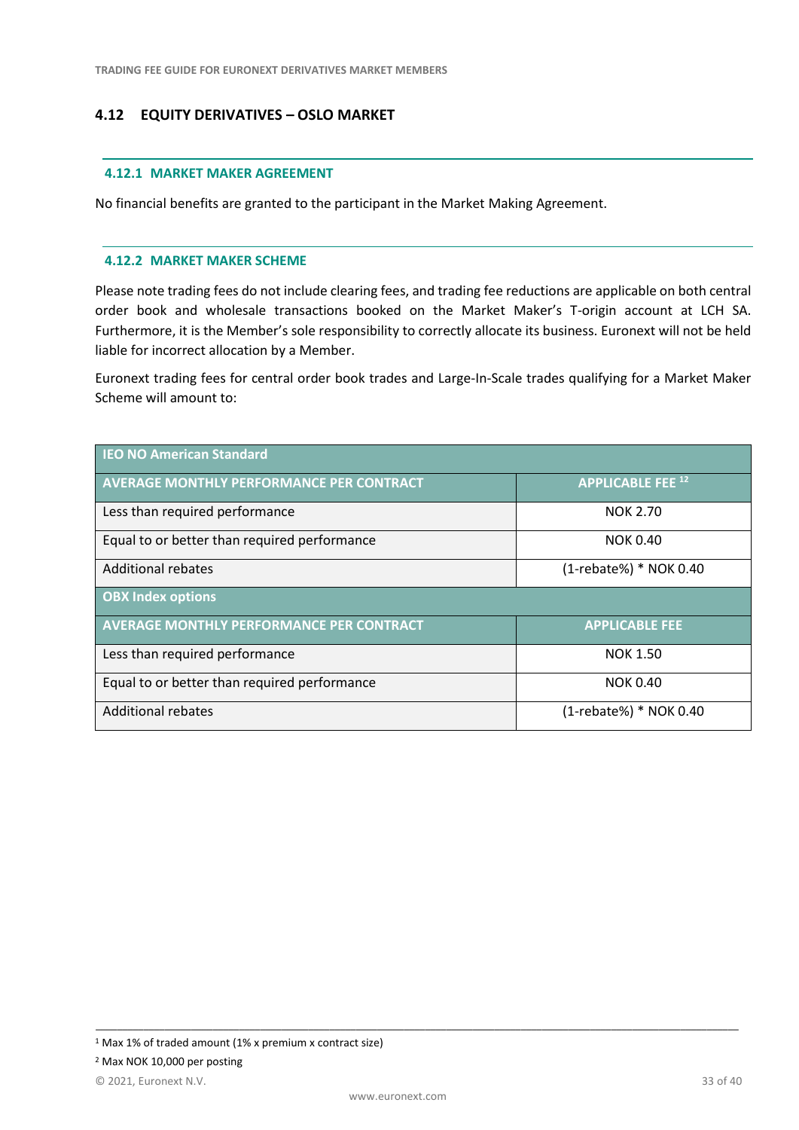# <span id="page-32-0"></span>**4.12 EQUITY DERIVATIVES – OSLO MARKET**

#### **4.12.1 MARKET MAKER AGREEMENT**

No financial benefits are granted to the participant in the Market Making Agreement.

#### **4.12.2 MARKET MAKER SCHEME**

Please note trading fees do not include clearing fees, and trading fee reductions are applicable on both central order book and wholesale transactions booked on the Market Maker's T-origin account at LCH SA. Furthermore, it is the Member's sole responsibility to correctly allocate its business. Euronext will not be held liable for incorrect allocation by a Member.

Euronext trading fees for central order book trades and Large-In-Scale trades qualifying for a Market Maker Scheme will amount to:

| <b>IEO NO American Standard</b>                 |                          |
|-------------------------------------------------|--------------------------|
| <b>AVERAGE MONTHLY PERFORMANCE PER CONTRACT</b> | <b>APPLICABLE FEE 12</b> |
| Less than required performance                  | <b>NOK 2.70</b>          |
| Equal to or better than required performance    | <b>NOK 0.40</b>          |
| Additional rebates                              | (1-rebate%) * NOK 0.40   |
| <b>OBX Index options</b>                        |                          |
| <b>AVERAGE MONTHLY PERFORMANCE PER CONTRACT</b> | <b>APPLICABLE FEE</b>    |
| Less than required performance                  | <b>NOK 1.50</b>          |
| Equal to or better than required performance    | <b>NOK 0.40</b>          |
| <b>Additional rebates</b>                       | (1-rebate%) * NOK 0.40   |

<sup>1</sup> Max 1% of traded amount (1% x premium x contract size)

<sup>2</sup> Max NOK 10,000 per posting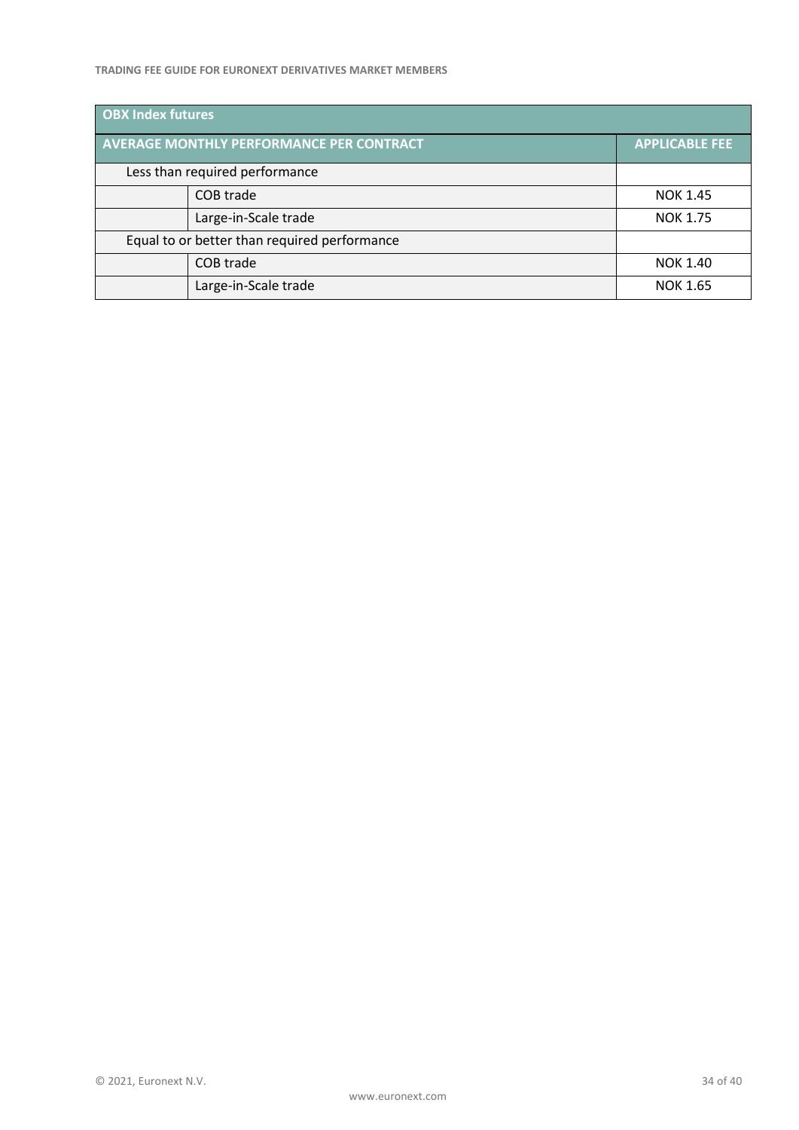#### **TRADING FEE GUIDE FOR EURONEXT DERIVATIVES MARKET MEMBERS**

| <b>OBX Index futures</b> |                                                 |                       |
|--------------------------|-------------------------------------------------|-----------------------|
|                          | <b>AVERAGE MONTHLY PERFORMANCE PER CONTRACT</b> | <b>APPLICABLE FEE</b> |
|                          | Less than required performance                  |                       |
|                          | COB trade                                       | <b>NOK 1.45</b>       |
|                          | Large-in-Scale trade                            | <b>NOK 1.75</b>       |
|                          | Equal to or better than required performance    |                       |
|                          | COB trade                                       | <b>NOK 1.40</b>       |
|                          | Large-in-Scale trade                            | <b>NOK 1.65</b>       |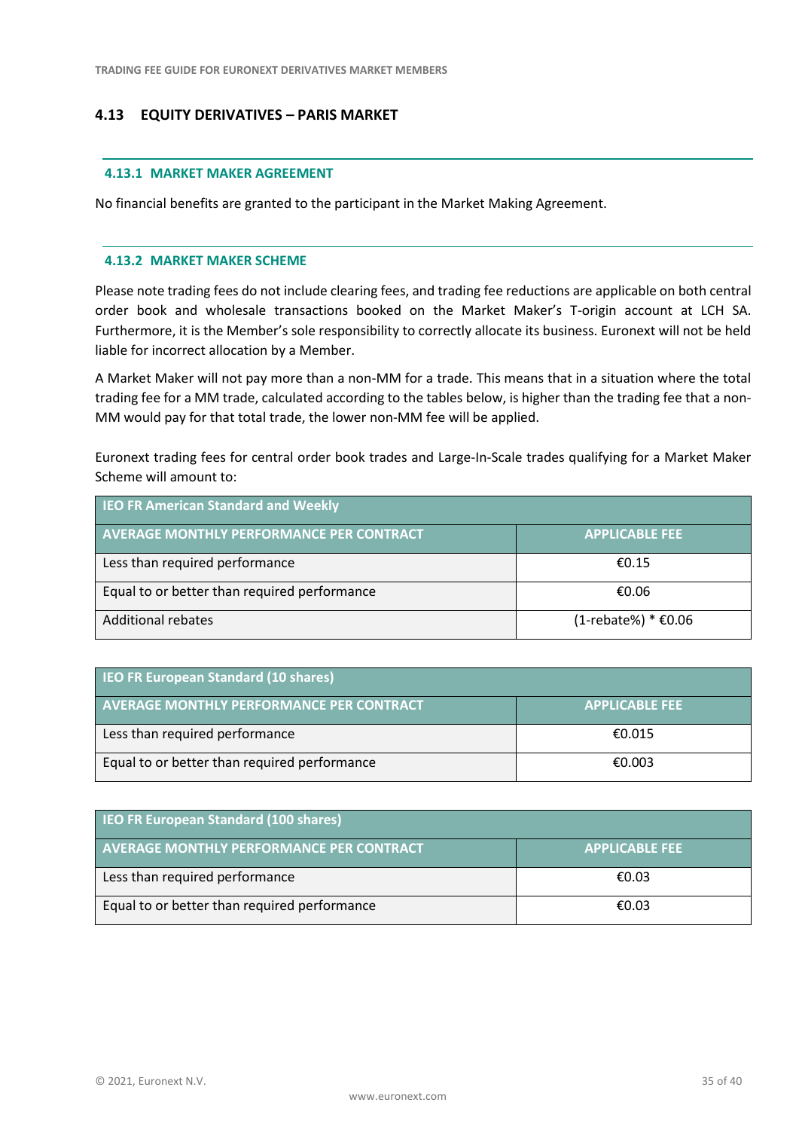# <span id="page-34-0"></span>**4.13 EQUITY DERIVATIVES – PARIS MARKET**

#### **4.13.1 MARKET MAKER AGREEMENT**

No financial benefits are granted to the participant in the Market Making Agreement.

#### **4.13.2 MARKET MAKER SCHEME**

Please note trading fees do not include clearing fees, and trading fee reductions are applicable on both central order book and wholesale transactions booked on the Market Maker's T-origin account at LCH SA. Furthermore, it is the Member's sole responsibility to correctly allocate its business. Euronext will not be held liable for incorrect allocation by a Member.

A Market Maker will not pay more than a non-MM for a trade. This means that in a situation where the total trading fee for a MM trade, calculated according to the tables below, is higher than the trading fee that a non-MM would pay for that total trade, the lower non-MM fee will be applied.

Euronext trading fees for central order book trades and Large-In-Scale trades qualifying for a Market Maker Scheme will amount to:

| <b>IEO FR American Standard and Weekly</b>      |                        |
|-------------------------------------------------|------------------------|
| <b>AVERAGE MONTHLY PERFORMANCE PER CONTRACT</b> | <b>APPLICABLE FEE</b>  |
| Less than required performance                  | £0.15                  |
| Equal to or better than required performance    | €0.06                  |
| <b>Additional rebates</b>                       | $(1$ -rebate%) * €0.06 |

| <b>IEO FR European Standard (10 shares)</b>     |                       |
|-------------------------------------------------|-----------------------|
| <b>AVERAGE MONTHLY PERFORMANCE PER CONTRACT</b> | <b>APPLICABLE FEE</b> |
| Less than required performance                  | €0.015                |
| Equal to or better than required performance    | €0.003                |

| <b>IEO FR European Standard (100 shares)</b>    |                       |
|-------------------------------------------------|-----------------------|
| <b>AVERAGE MONTHLY PERFORMANCE PER CONTRACT</b> | <b>APPLICABLE FEE</b> |
| Less than required performance                  | €0.03                 |
| Equal to or better than required performance    | €0.03                 |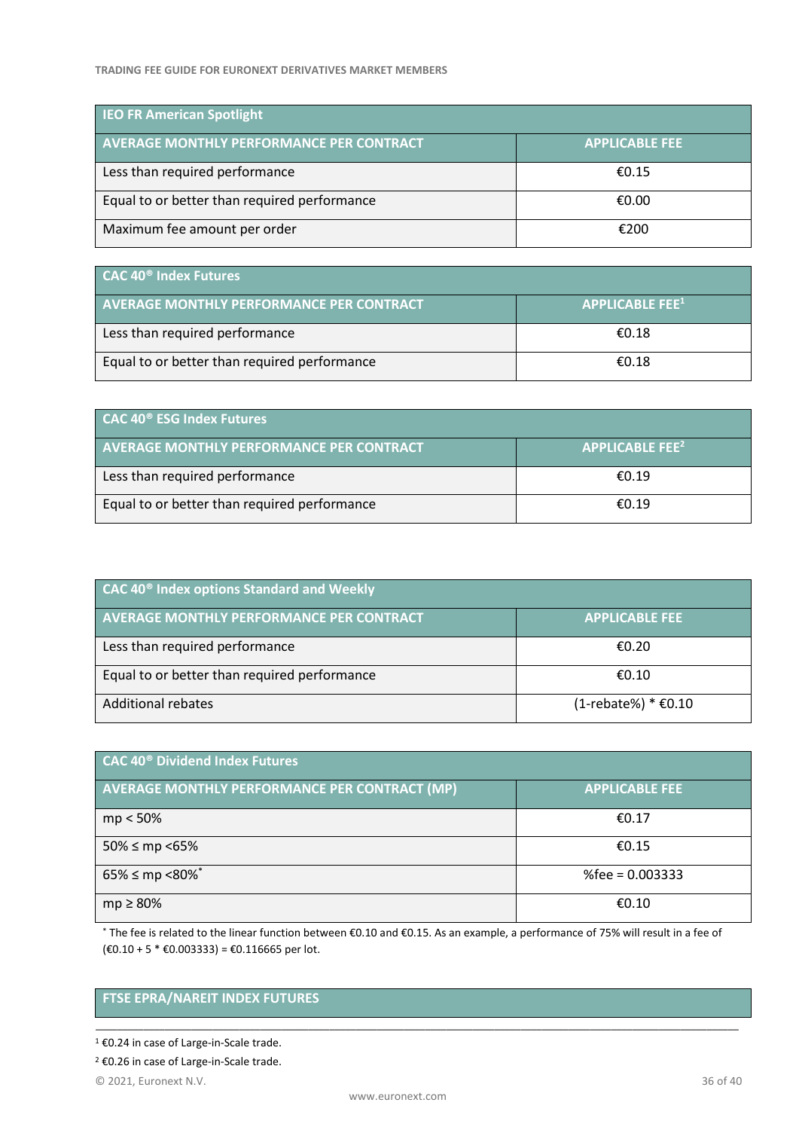| <b>IEO FR American Spotlight</b>                |                       |
|-------------------------------------------------|-----------------------|
| <b>AVERAGE MONTHLY PERFORMANCE PER CONTRACT</b> | <b>APPLICABLE FEE</b> |
| Less than required performance                  | £0.15                 |
| Equal to or better than required performance    | €0.00                 |
| Maximum fee amount per order                    | €200                  |

| CAC 40 <sup>®</sup> Index Futures               |                                    |
|-------------------------------------------------|------------------------------------|
| <b>AVERAGE MONTHLY PERFORMANCE PER CONTRACT</b> | <b>APPLICABLE FEE</b> <sup>1</sup> |
| Less than required performance                  | €0.18                              |
| Equal to or better than required performance    | €0.18                              |

| CAC 40 <sup>®</sup> ESG Index Futures           |                                            |  |
|-------------------------------------------------|--------------------------------------------|--|
| <b>AVERAGE MONTHLY PERFORMANCE PER CONTRACT</b> | $\overline{A}$ APPLICABLE FEE <sup>2</sup> |  |
| Less than required performance                  | €0.19                                      |  |
| Equal to or better than required performance    | £0.19                                      |  |

| <b>CAC 40<sup>®</sup> Index options Standard and Weekly</b> |                        |  |
|-------------------------------------------------------------|------------------------|--|
| <b>AVERAGE MONTHLY PERFORMANCE PER CONTRACT</b>             | <b>APPLICABLE FEE</b>  |  |
| Less than required performance                              | €0.20                  |  |
| Equal to or better than required performance                | €0.10                  |  |
| <b>Additional rebates</b>                                   | $(1$ -rebate%) * €0.10 |  |

| CAC 40 <sup>®</sup> Dividend Index Futures           |                       |  |
|------------------------------------------------------|-----------------------|--|
| <b>AVERAGE MONTHLY PERFORMANCE PER CONTRACT (MP)</b> | <b>APPLICABLE FEE</b> |  |
| $mp < 50\%$                                          | €0.17                 |  |
| $50\% \le mp \le 65\%$                               | €0.15                 |  |
| $65\% \le mp \le 80\%$ *                             | %fee = $0.003333$     |  |
| $mp \geq 80\%$                                       | €0.10                 |  |

\* The fee is related to the linear function between €0.10 and €0.15. As an example, a performance of 75% will result in a fee of (€0.10 + 5 \* €0.003333) = €0.116665 per lot.

\_\_\_\_\_\_\_\_\_\_\_\_\_\_\_\_\_\_\_\_\_\_\_\_\_\_\_\_\_\_\_\_\_\_\_\_\_\_\_\_\_\_\_\_\_\_\_\_\_\_\_\_\_\_\_\_\_\_\_\_\_\_\_\_\_\_\_\_\_\_\_\_\_\_\_\_\_\_\_\_\_\_\_\_\_\_\_\_\_\_\_\_\_\_\_\_\_\_\_\_\_\_\_\_\_\_\_\_\_\_\_\_\_\_\_\_\_\_\_\_\_

# **FTSE EPRA/NAREIT INDEX FUTURES**

<sup>2</sup> €0.26 in case of Large-in-Scale trade.

<sup>1</sup> €0.24 in case of Large-in-Scale trade.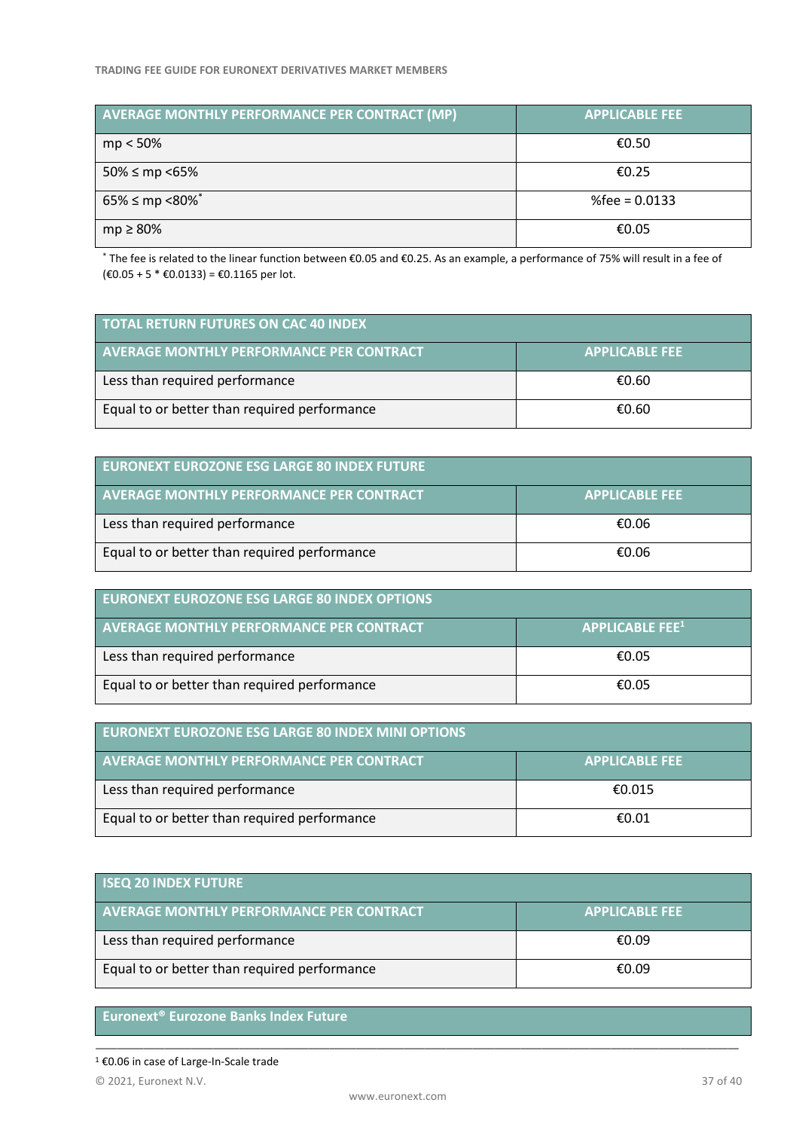| AVERAGE MONTHLY PERFORMANCE PER CONTRACT (MP) | <b>APPLICABLE FEE</b> |  |  |
|-----------------------------------------------|-----------------------|--|--|
| $mp < 50\%$                                   | €0.50                 |  |  |
| $50\% \le mp \le 65\%$                        | €0.25                 |  |  |
| $65\% \le mp \le 80\%$ <sup>*</sup>           | %fee = $0.0133$       |  |  |
| $mp \geq 80\%$                                | €0.05                 |  |  |

\* The fee is related to the linear function between €0.05 and €0.25. As an example, a performance of 75% will result in a fee of  $(€0.05 + 5 * €0.0133) = €0.1165$  per lot.

| <b>TOTAL RETURN FUTURES ON CAC 40 INDEX</b>     |                       |  |
|-------------------------------------------------|-----------------------|--|
| <b>AVERAGE MONTHLY PERFORMANCE PER CONTRACT</b> | <b>APPLICABLE FEE</b> |  |
| Less than required performance                  | €0.60                 |  |
| Equal to or better than required performance    | €0.60                 |  |

| <b>EURONEXT EUROZONE ESG LARGE 80 INDEX FUTURE</b> |                       |  |
|----------------------------------------------------|-----------------------|--|
| AVERAGE MONTHLY PERFORMANCE PER CONTRACT           | <b>APPLICABLE FEE</b> |  |
| Less than required performance                     | €0.06                 |  |
| Equal to or better than required performance       | €0.06                 |  |

| <b>EURONEXT EUROZONE ESG LARGE 80 INDEX OPTIONS</b> |                                              |
|-----------------------------------------------------|----------------------------------------------|
| AVERAGE MONTHLY PERFORMANCE PER CONTRACT            | $\overline{\phantom{a}}$ APPLICABLE FEE $^1$ |
| Less than required performance                      | €0.05                                        |
| Equal to or better than required performance        | €0.05                                        |

| <b>EURONEXT EUROZONE ESG LARGE 80 INDEX MINI OPTIONS</b> |                       |  |
|----------------------------------------------------------|-----------------------|--|
| <b>AVERAGE MONTHLY PERFORMANCE PER CONTRACT</b>          | <b>APPLICABLE FEE</b> |  |
| Less than required performance                           | €0.015                |  |
| Equal to or better than required performance             | €0.01                 |  |

| <b>ISEQ 20 INDEX FUTURE</b>                     |                       |  |
|-------------------------------------------------|-----------------------|--|
| <b>AVERAGE MONTHLY PERFORMANCE PER CONTRACT</b> | <b>APPLICABLE FEE</b> |  |
| Less than required performance                  | €0.09                 |  |
| Equal to or better than required performance    | €0.09                 |  |

# **Euronext® Eurozone Banks Index Future**

<sup>1</sup> €0.06 in case of Large-In-Scale trade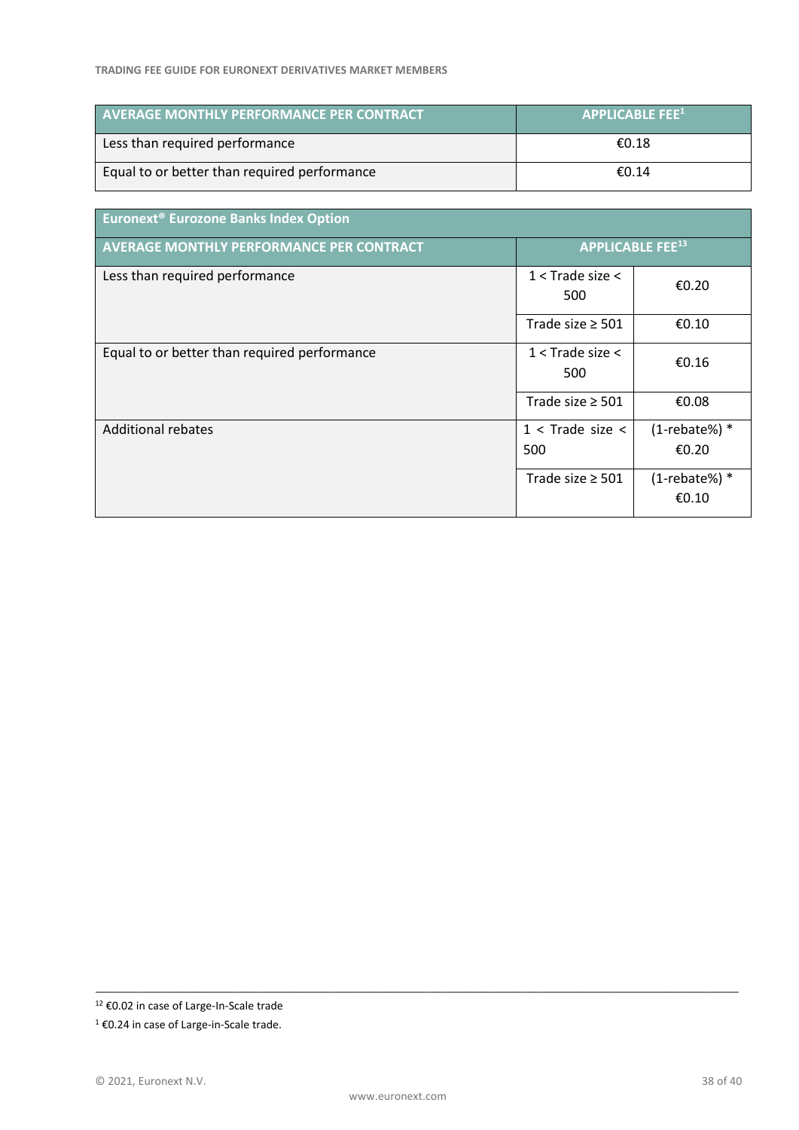| <b>AVERAGE MONTHLY PERFORMANCE PER CONTRACT</b> | APPLICABLE EEE <sup>11</sup> |
|-------------------------------------------------|------------------------------|
| Less than required performance                  | €0.18                        |
| Equal to or better than required performance    | €0.14                        |

| Euronext <sup>®</sup> Eurozone Banks Index Option |                                    |                                |
|---------------------------------------------------|------------------------------------|--------------------------------|
| <b>AVERAGE MONTHLY PERFORMANCE PER CONTRACT</b>   | <b>APPLICABLE FEE<sup>13</sup></b> |                                |
| Less than required performance                    | $1 <$ Trade size $<$<br>500        | €0.20                          |
|                                                   | Trade size $\geq$ 501              | €0.10                          |
| Equal to or better than required performance      | $1 <$ Trade size $<$<br>500        | €0.16                          |
|                                                   | Trade size $\geq$ 501              | €0.08                          |
| <b>Additional rebates</b>                         | $1 <$ Trade size $<$<br>500        | $(1$ -rebate%) $*$<br>€0.20    |
|                                                   | Trade size $\geq$ 501              | $(1$ -rebate%) $*$<br>€ $0.10$ |

<sup>12</sup> €0.02 in case of Large-In-Scale trade

<sup>1</sup> €0.24 in case of Large-in-Scale trade.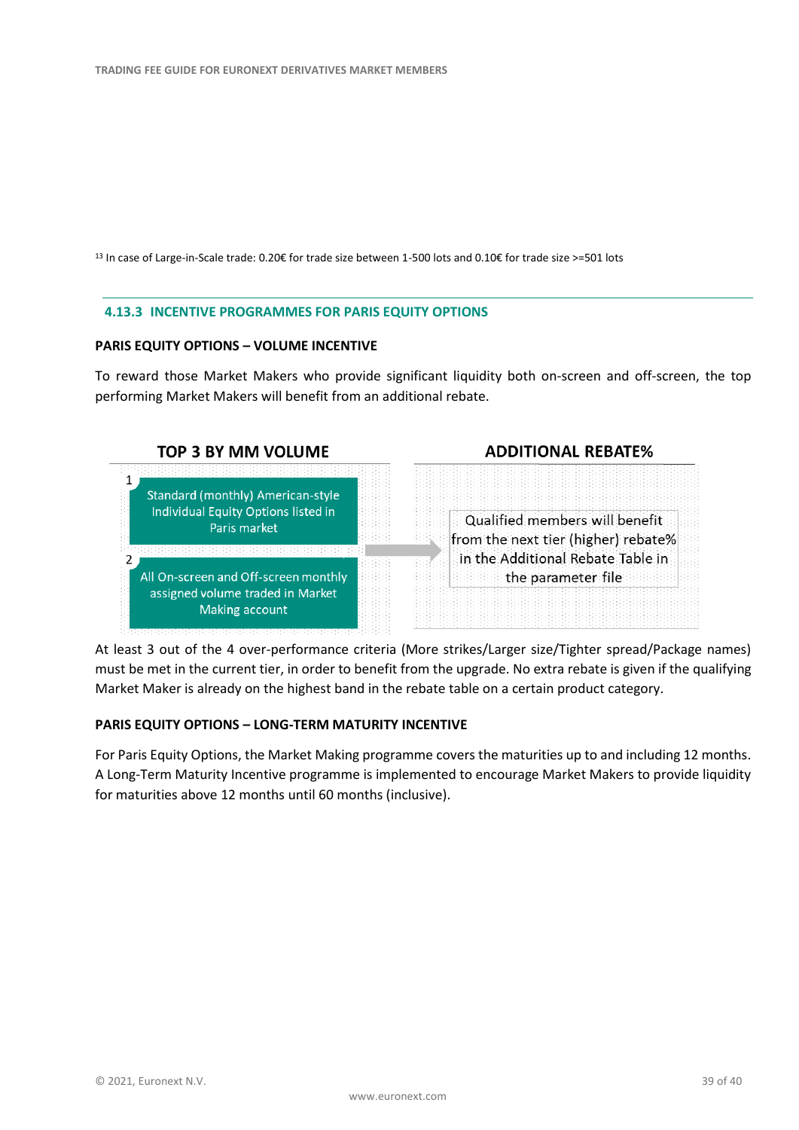<sup>13</sup> In case of Large-in-Scale trade: 0.20€ for trade size between 1-500 lots and 0.10€ for trade size >=501 lots

#### **4.13.3 INCENTIVE PROGRAMMES FOR PARIS EQUITY OPTIONS**

#### **PARIS EQUITY OPTIONS – VOLUME INCENTIVE**

To reward those Market Makers who provide significant liquidity both on-screen and off-screen, the top performing Market Makers will benefit from an additional rebate.



At least 3 out of the 4 over-performance criteria (More strikes/Larger size/Tighter spread/Package names) must be met in the current tier, in order to benefit from the upgrade. No extra rebate is given if the qualifying Market Maker is already on the highest band in the rebate table on a certain product category.

#### **PARIS EQUITY OPTIONS – LONG-TERM MATURITY INCENTIVE**

For Paris Equity Options, the Market Making programme covers the maturities up to and including 12 months. A Long-Term Maturity Incentive programme is implemented to encourage Market Makers to provide liquidity for maturities above 12 months until 60 months (inclusive).